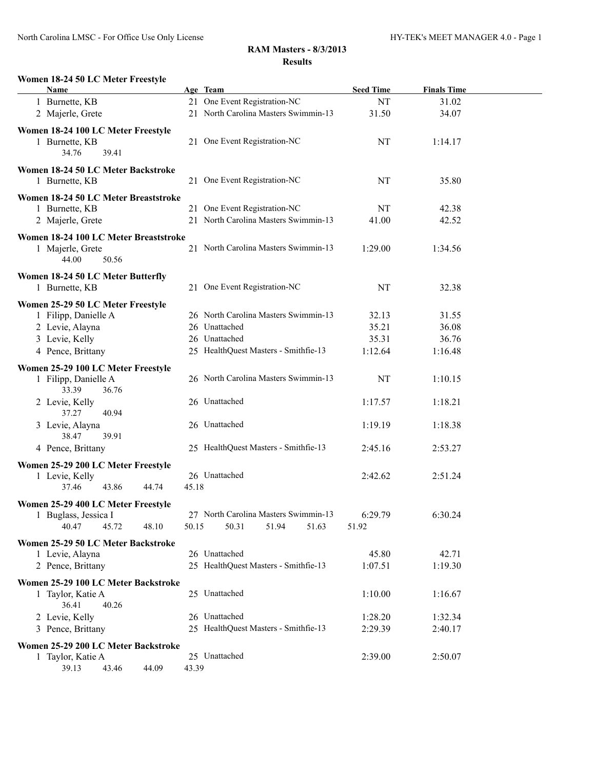#### **Women 18-24 50 LC Meter Freestyle**

| Name                                                 |       | Age Team                             | <b>Seed Time</b> | <b>Finals Time</b> |  |
|------------------------------------------------------|-------|--------------------------------------|------------------|--------------------|--|
| 1 Burnette, KB                                       |       | 21 One Event Registration-NC         | NT               | 31.02              |  |
| 2 Majerle, Grete                                     |       | 21 North Carolina Masters Swimmin-13 | 31.50            | 34.07              |  |
|                                                      |       |                                      |                  |                    |  |
| Women 18-24 100 LC Meter Freestyle<br>1 Burnette, KB |       | 21 One Event Registration-NC         | NT               | 1:14.17            |  |
| 34.76<br>39.41                                       |       |                                      |                  |                    |  |
|                                                      |       |                                      |                  |                    |  |
| Women 18-24 50 LC Meter Backstroke                   |       |                                      |                  |                    |  |
| 1 Burnette, KB                                       |       | 21 One Event Registration-NC         | NT               | 35.80              |  |
| Women 18-24 50 LC Meter Breaststroke                 |       |                                      |                  |                    |  |
| 1 Burnette, KB                                       |       | 21 One Event Registration-NC         | NT               | 42.38              |  |
| 2 Majerle, Grete                                     |       | 21 North Carolina Masters Swimmin-13 | 41.00            | 42.52              |  |
|                                                      |       |                                      |                  |                    |  |
| Women 18-24 100 LC Meter Breaststroke                |       | 21 North Carolina Masters Swimmin-13 |                  |                    |  |
| 1 Majerle, Grete                                     |       |                                      | 1:29.00          | 1:34.56            |  |
| 44.00<br>50.56                                       |       |                                      |                  |                    |  |
| Women 18-24 50 LC Meter Butterfly                    |       |                                      |                  |                    |  |
| 1 Burnette, KB                                       |       | 21 One Event Registration-NC         | NT               | 32.38              |  |
| Women 25-29 50 LC Meter Freestyle                    |       |                                      |                  |                    |  |
| 1 Filipp, Danielle A                                 |       | 26 North Carolina Masters Swimmin-13 | 32.13            | 31.55              |  |
| 2 Levie, Alayna                                      |       | 26 Unattached                        | 35.21            | 36.08              |  |
| 3 Levie, Kelly                                       |       | 26 Unattached                        | 35.31            | 36.76              |  |
| 4 Pence, Brittany                                    |       | 25 HealthQuest Masters - Smithfie-13 | 1:12.64          | 1:16.48            |  |
|                                                      |       |                                      |                  |                    |  |
| Women 25-29 100 LC Meter Freestyle                   |       |                                      |                  |                    |  |
| 1 Filipp, Danielle A                                 |       | 26 North Carolina Masters Swimmin-13 | <b>NT</b>        | 1:10.15            |  |
| 33.39<br>36.76                                       |       |                                      |                  |                    |  |
| 2 Levie, Kelly                                       |       | 26 Unattached                        | 1:17.57          | 1:18.21            |  |
| 37.27<br>40.94                                       |       | 26 Unattached                        |                  |                    |  |
| 3 Levie, Alayna<br>38.47<br>39.91                    |       |                                      | 1:19.19          | 1:18.38            |  |
| 4 Pence, Brittany                                    |       | 25 HealthQuest Masters - Smithfie-13 | 2:45.16          | 2:53.27            |  |
|                                                      |       |                                      |                  |                    |  |
| Women 25-29 200 LC Meter Freestyle                   |       |                                      |                  |                    |  |
| 1 Levie, Kelly                                       |       | 26 Unattached                        | 2:42.62          | 2:51.24            |  |
| 37.46<br>43.86<br>44.74                              | 45.18 |                                      |                  |                    |  |
| Women 25-29 400 LC Meter Freestyle                   |       |                                      |                  |                    |  |
| 1 Buglass, Jessica I                                 |       | 27 North Carolina Masters Swimmin-13 | 6:29.79          | 6:30.24            |  |
| 40.47<br>45.72<br>48.10                              | 50.15 | 50.31<br>51.94<br>51.63              | 51.92            |                    |  |
| Women 25-29 50 LC Meter Backstroke                   |       |                                      |                  |                    |  |
| 1 Levie, Alayna                                      |       | 26 Unattached                        | 45.80            | 42.71              |  |
| 2 Pence, Brittany                                    |       | 25 HealthQuest Masters - Smithfie-13 | 1:07.51          | 1:19.30            |  |
|                                                      |       |                                      |                  |                    |  |
| Women 25-29 100 LC Meter Backstroke                  |       |                                      |                  |                    |  |
| 1 Taylor, Katie A                                    |       | 25 Unattached                        | 1:10.00          | 1:16.67            |  |
| 36.41<br>40.26                                       |       |                                      |                  |                    |  |
| 2 Levie, Kelly                                       |       | 26 Unattached                        | 1:28.20          | 1:32.34            |  |
| 3 Pence, Brittany                                    |       | 25 HealthQuest Masters - Smithfie-13 | 2:29.39          | 2:40.17            |  |
| Women 25-29 200 LC Meter Backstroke                  |       |                                      |                  |                    |  |
| 1 Taylor, Katie A                                    |       | 25 Unattached                        | 2:39.00          | 2:50.07            |  |
| 39.13<br>43.46<br>44.09                              | 43.39 |                                      |                  |                    |  |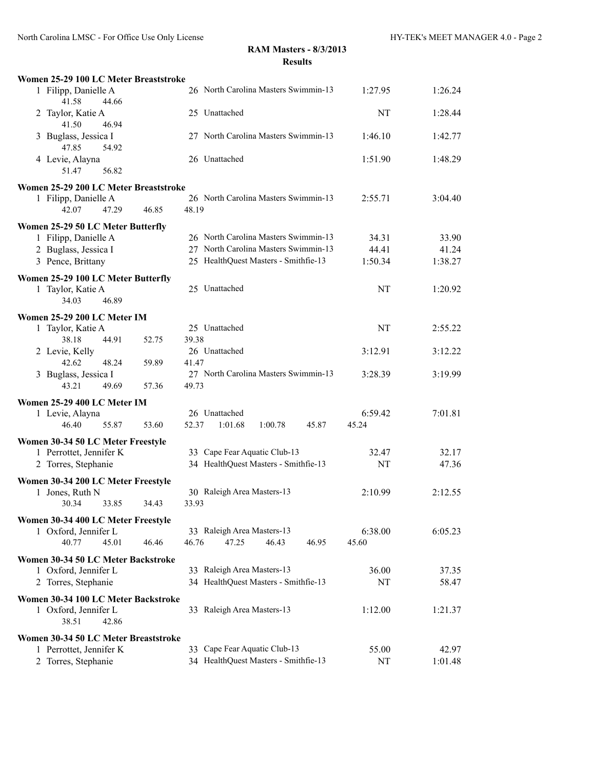| Women 25-29 100 LC Meter Breaststroke                                         |                                               |         |         |
|-------------------------------------------------------------------------------|-----------------------------------------------|---------|---------|
| 1 Filipp, Danielle A<br>41.58<br>44.66                                        | 26 North Carolina Masters Swimmin-13          | 1:27.95 | 1:26.24 |
| Taylor, Katie A<br>2<br>41.50<br>46.94                                        | 25 Unattached                                 | NT      | 1:28.44 |
| Buglass, Jessica I<br>3<br>47.85<br>54.92                                     | 27 North Carolina Masters Swimmin-13          | 1:46.10 | 1:42.77 |
| 4 Levie, Alayna<br>56.82<br>51.47                                             | 26 Unattached                                 | 1:51.90 | 1:48.29 |
| Women 25-29 200 LC Meter Breaststroke                                         |                                               |         |         |
| 1 Filipp, Danielle A<br>42.07<br>47.29<br>46.85                               | 26 North Carolina Masters Swimmin-13<br>48.19 | 2:55.71 | 3:04.40 |
| Women 25-29 50 LC Meter Butterfly                                             |                                               |         |         |
| 1 Filipp, Danielle A                                                          | 26 North Carolina Masters Swimmin-13          | 34.31   | 33.90   |
| 2 Buglass, Jessica I                                                          | 27 North Carolina Masters Swimmin-13          | 44.41   | 41.24   |
| 3 Pence, Brittany                                                             | 25 HealthQuest Masters - Smithfie-13          | 1:50.34 | 1:38.27 |
| Women 25-29 100 LC Meter Butterfly<br>1 Taylor, Katie A<br>34.03<br>46.89     | 25 Unattached                                 | NT      | 1:20.92 |
| Women 25-29 200 LC Meter IM                                                   |                                               |         |         |
| 1 Taylor, Katie A<br>38.18<br>44.91<br>52.75                                  | 25 Unattached<br>39.38                        | NT      | 2:55.22 |
| 2 Levie, Kelly<br>42.62<br>48.24<br>59.89                                     | 26 Unattached<br>41.47                        | 3:12.91 | 3:12.22 |
| 3 Buglass, Jessica I<br>43.21<br>49.69<br>57.36                               | 27 North Carolina Masters Swimmin-13<br>49.73 | 3:28.39 | 3:19.99 |
| Women 25-29 400 LC Meter IM                                                   |                                               |         |         |
| 1 Levie, Alayna                                                               | 26 Unattached                                 | 6:59.42 | 7:01.81 |
| 46.40<br>55.87<br>53.60                                                       | 52.37<br>1:01.68<br>1:00.78<br>45.87          | 45.24   |         |
| Women 30-34 50 LC Meter Freestyle                                             |                                               |         |         |
| 1 Perrottet, Jennifer K                                                       | 33 Cape Fear Aquatic Club-13                  | 32.47   | 32.17   |
| 2 Torres, Stephanie                                                           | 34 HealthQuest Masters - Smithfie-13          | NT      | 47.36   |
| Women 30-34 200 LC Meter Freestyle                                            |                                               |         |         |
| 1 Jones, Ruth N<br>30.34<br>33.85<br>34.43                                    | 30 Raleigh Area Masters-13<br>33.93           | 2:10.99 | 2:12.55 |
| Women 30-34 400 LC Meter Freestyle                                            |                                               |         |         |
| 1 Oxford, Jennifer L                                                          | 33 Raleigh Area Masters-13                    | 6:38.00 | 6:05.23 |
| 40.77<br>45.01<br>46.46                                                       | 46.76<br>47.25<br>46.43<br>46.95              | 45.60   |         |
| Women 30-34 50 LC Meter Backstroke                                            |                                               |         |         |
| 1 Oxford, Jennifer L                                                          | 33 Raleigh Area Masters-13                    | 36.00   | 37.35   |
| 2 Torres, Stephanie                                                           | 34 HealthQuest Masters - Smithfie-13          | NT      | 58.47   |
| Women 30-34 100 LC Meter Backstroke<br>1 Oxford, Jennifer L<br>38.51<br>42.86 | 33 Raleigh Area Masters-13                    | 1:12.00 | 1:21.37 |
| Women 30-34 50 LC Meter Breaststroke                                          |                                               |         |         |
| 1 Perrottet, Jennifer K                                                       | 33 Cape Fear Aquatic Club-13                  | 55.00   | 42.97   |
| 2 Torres, Stephanie                                                           | 34 HealthQuest Masters - Smithfie-13          | NT      | 1:01.48 |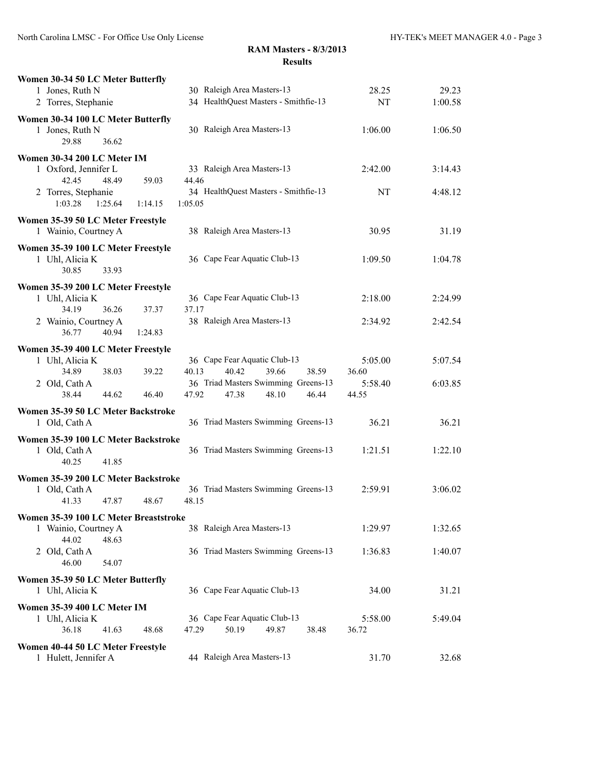| 30 Raleigh Area Masters-13<br>28.25<br>29.23<br>1 Jones, Ruth N<br>34 HealthQuest Masters - Smithfie-13<br>2 Torres, Stephanie<br>NT<br>1:00.58<br>Women 30-34 100 LC Meter Butterfly<br>30 Raleigh Area Masters-13<br>1 Jones, Ruth N<br>1:06.00<br>1:06.50<br>29.88<br>36.62<br>Women 30-34 200 LC Meter IM<br>33 Raleigh Area Masters-13<br>1 Oxford, Jennifer L<br>2:42.00<br>3:14.43<br>42.45<br>48.49<br>59.03<br>44.46<br>2 Torres, Stephanie<br>34 HealthQuest Masters - Smithfie-13<br>NT<br>4:48.12<br>1:03.28<br>1:25.64<br>1:14.15<br>1:05.05<br>Women 35-39 50 LC Meter Freestyle<br>38 Raleigh Area Masters-13<br>1 Wainio, Courtney A<br>30.95<br>31.19<br>Women 35-39 100 LC Meter Freestyle<br>36 Cape Fear Aquatic Club-13<br>1 Uhl, Alicia K<br>1:09.50<br>1:04.78<br>30.85<br>33.93<br>Women 35-39 200 LC Meter Freestyle<br>36 Cape Fear Aquatic Club-13<br>1 Uhl, Alicia K<br>2:18.00<br>2:24.99<br>36.26<br>34.19<br>37.37<br>37.17<br>38 Raleigh Area Masters-13<br>2 Wainio, Courtney A<br>2:34.92<br>2:42.54<br>40.94<br>1:24.83<br>36.77<br>Women 35-39 400 LC Meter Freestyle<br>36 Cape Fear Aquatic Club-13<br>1 Uhl, Alicia K<br>5:05.00<br>5:07.54<br>34.89<br>38.03<br>40.13<br>40.42<br>39.66<br>38.59<br>36.60<br>39.22<br>36 Triad Masters Swimming Greens-13<br>2 Old, Cath A<br>5:58.40<br>6:03.85<br>38.44<br>47.92<br>44.62<br>46.40<br>47.38<br>48.10<br>46.44<br>44.55<br>Women 35-39 50 LC Meter Backstroke<br>36 Triad Masters Swimming Greens-13<br>1 Old, Cath A<br>36.21<br>36.21<br>Women 35-39 100 LC Meter Backstroke<br>36 Triad Masters Swimming Greens-13<br>1 Old, Cath A<br>1:21.51<br>1:22.10<br>40.25<br>41.85<br>Women 35-39 200 LC Meter Backstroke<br>1 Old, Cath A<br>36 Triad Masters Swimming Greens-13<br>2:59.91<br>3:06.02<br>41.33<br>47.87<br>48.67<br>48.15<br>Women 35-39 100 LC Meter Breaststroke<br>38 Raleigh Area Masters-13<br>1 Wainio, Courtney A<br>1:29.97<br>1:32.65<br>44.02<br>48.63<br>36 Triad Masters Swimming Greens-13<br>1:36.83<br>2 Old, Cath A<br>1:40.07<br>46.00<br>54.07<br>Women 35-39 50 LC Meter Butterfly<br>36 Cape Fear Aquatic Club-13<br>34.00<br>1 Uhl, Alicia K<br>31.21<br>Women 35-39 400 LC Meter IM<br>36 Cape Fear Aquatic Club-13<br>1 Uhl, Alicia K<br>5:58.00<br>5:49.04<br>50.19<br>49.87<br>36.18<br>41.63<br>48.68<br>47.29<br>38.48<br>36.72<br>Women 40-44 50 LC Meter Freestyle | Women 30-34 50 LC Meter Butterfly |  |  |
|--------------------------------------------------------------------------------------------------------------------------------------------------------------------------------------------------------------------------------------------------------------------------------------------------------------------------------------------------------------------------------------------------------------------------------------------------------------------------------------------------------------------------------------------------------------------------------------------------------------------------------------------------------------------------------------------------------------------------------------------------------------------------------------------------------------------------------------------------------------------------------------------------------------------------------------------------------------------------------------------------------------------------------------------------------------------------------------------------------------------------------------------------------------------------------------------------------------------------------------------------------------------------------------------------------------------------------------------------------------------------------------------------------------------------------------------------------------------------------------------------------------------------------------------------------------------------------------------------------------------------------------------------------------------------------------------------------------------------------------------------------------------------------------------------------------------------------------------------------------------------------------------------------------------------------------------------------------------------------------------------------------------------------------------------------------------------------------------------------------------------------------------------------------------------------------------------------------------------------------------------------------------------------------------------------------------------------------------------------------------------------------------------------|-----------------------------------|--|--|
|                                                                                                                                                                                                                                                                                                                                                                                                                                                                                                                                                                                                                                                                                                                                                                                                                                                                                                                                                                                                                                                                                                                                                                                                                                                                                                                                                                                                                                                                                                                                                                                                                                                                                                                                                                                                                                                                                                                                                                                                                                                                                                                                                                                                                                                                                                                                                                                                        |                                   |  |  |
|                                                                                                                                                                                                                                                                                                                                                                                                                                                                                                                                                                                                                                                                                                                                                                                                                                                                                                                                                                                                                                                                                                                                                                                                                                                                                                                                                                                                                                                                                                                                                                                                                                                                                                                                                                                                                                                                                                                                                                                                                                                                                                                                                                                                                                                                                                                                                                                                        |                                   |  |  |
|                                                                                                                                                                                                                                                                                                                                                                                                                                                                                                                                                                                                                                                                                                                                                                                                                                                                                                                                                                                                                                                                                                                                                                                                                                                                                                                                                                                                                                                                                                                                                                                                                                                                                                                                                                                                                                                                                                                                                                                                                                                                                                                                                                                                                                                                                                                                                                                                        |                                   |  |  |
|                                                                                                                                                                                                                                                                                                                                                                                                                                                                                                                                                                                                                                                                                                                                                                                                                                                                                                                                                                                                                                                                                                                                                                                                                                                                                                                                                                                                                                                                                                                                                                                                                                                                                                                                                                                                                                                                                                                                                                                                                                                                                                                                                                                                                                                                                                                                                                                                        |                                   |  |  |
|                                                                                                                                                                                                                                                                                                                                                                                                                                                                                                                                                                                                                                                                                                                                                                                                                                                                                                                                                                                                                                                                                                                                                                                                                                                                                                                                                                                                                                                                                                                                                                                                                                                                                                                                                                                                                                                                                                                                                                                                                                                                                                                                                                                                                                                                                                                                                                                                        |                                   |  |  |
|                                                                                                                                                                                                                                                                                                                                                                                                                                                                                                                                                                                                                                                                                                                                                                                                                                                                                                                                                                                                                                                                                                                                                                                                                                                                                                                                                                                                                                                                                                                                                                                                                                                                                                                                                                                                                                                                                                                                                                                                                                                                                                                                                                                                                                                                                                                                                                                                        |                                   |  |  |
|                                                                                                                                                                                                                                                                                                                                                                                                                                                                                                                                                                                                                                                                                                                                                                                                                                                                                                                                                                                                                                                                                                                                                                                                                                                                                                                                                                                                                                                                                                                                                                                                                                                                                                                                                                                                                                                                                                                                                                                                                                                                                                                                                                                                                                                                                                                                                                                                        |                                   |  |  |
|                                                                                                                                                                                                                                                                                                                                                                                                                                                                                                                                                                                                                                                                                                                                                                                                                                                                                                                                                                                                                                                                                                                                                                                                                                                                                                                                                                                                                                                                                                                                                                                                                                                                                                                                                                                                                                                                                                                                                                                                                                                                                                                                                                                                                                                                                                                                                                                                        |                                   |  |  |
|                                                                                                                                                                                                                                                                                                                                                                                                                                                                                                                                                                                                                                                                                                                                                                                                                                                                                                                                                                                                                                                                                                                                                                                                                                                                                                                                                                                                                                                                                                                                                                                                                                                                                                                                                                                                                                                                                                                                                                                                                                                                                                                                                                                                                                                                                                                                                                                                        |                                   |  |  |
|                                                                                                                                                                                                                                                                                                                                                                                                                                                                                                                                                                                                                                                                                                                                                                                                                                                                                                                                                                                                                                                                                                                                                                                                                                                                                                                                                                                                                                                                                                                                                                                                                                                                                                                                                                                                                                                                                                                                                                                                                                                                                                                                                                                                                                                                                                                                                                                                        |                                   |  |  |
|                                                                                                                                                                                                                                                                                                                                                                                                                                                                                                                                                                                                                                                                                                                                                                                                                                                                                                                                                                                                                                                                                                                                                                                                                                                                                                                                                                                                                                                                                                                                                                                                                                                                                                                                                                                                                                                                                                                                                                                                                                                                                                                                                                                                                                                                                                                                                                                                        |                                   |  |  |
|                                                                                                                                                                                                                                                                                                                                                                                                                                                                                                                                                                                                                                                                                                                                                                                                                                                                                                                                                                                                                                                                                                                                                                                                                                                                                                                                                                                                                                                                                                                                                                                                                                                                                                                                                                                                                                                                                                                                                                                                                                                                                                                                                                                                                                                                                                                                                                                                        |                                   |  |  |
|                                                                                                                                                                                                                                                                                                                                                                                                                                                                                                                                                                                                                                                                                                                                                                                                                                                                                                                                                                                                                                                                                                                                                                                                                                                                                                                                                                                                                                                                                                                                                                                                                                                                                                                                                                                                                                                                                                                                                                                                                                                                                                                                                                                                                                                                                                                                                                                                        |                                   |  |  |
|                                                                                                                                                                                                                                                                                                                                                                                                                                                                                                                                                                                                                                                                                                                                                                                                                                                                                                                                                                                                                                                                                                                                                                                                                                                                                                                                                                                                                                                                                                                                                                                                                                                                                                                                                                                                                                                                                                                                                                                                                                                                                                                                                                                                                                                                                                                                                                                                        |                                   |  |  |
|                                                                                                                                                                                                                                                                                                                                                                                                                                                                                                                                                                                                                                                                                                                                                                                                                                                                                                                                                                                                                                                                                                                                                                                                                                                                                                                                                                                                                                                                                                                                                                                                                                                                                                                                                                                                                                                                                                                                                                                                                                                                                                                                                                                                                                                                                                                                                                                                        |                                   |  |  |
|                                                                                                                                                                                                                                                                                                                                                                                                                                                                                                                                                                                                                                                                                                                                                                                                                                                                                                                                                                                                                                                                                                                                                                                                                                                                                                                                                                                                                                                                                                                                                                                                                                                                                                                                                                                                                                                                                                                                                                                                                                                                                                                                                                                                                                                                                                                                                                                                        |                                   |  |  |
|                                                                                                                                                                                                                                                                                                                                                                                                                                                                                                                                                                                                                                                                                                                                                                                                                                                                                                                                                                                                                                                                                                                                                                                                                                                                                                                                                                                                                                                                                                                                                                                                                                                                                                                                                                                                                                                                                                                                                                                                                                                                                                                                                                                                                                                                                                                                                                                                        |                                   |  |  |
|                                                                                                                                                                                                                                                                                                                                                                                                                                                                                                                                                                                                                                                                                                                                                                                                                                                                                                                                                                                                                                                                                                                                                                                                                                                                                                                                                                                                                                                                                                                                                                                                                                                                                                                                                                                                                                                                                                                                                                                                                                                                                                                                                                                                                                                                                                                                                                                                        |                                   |  |  |
|                                                                                                                                                                                                                                                                                                                                                                                                                                                                                                                                                                                                                                                                                                                                                                                                                                                                                                                                                                                                                                                                                                                                                                                                                                                                                                                                                                                                                                                                                                                                                                                                                                                                                                                                                                                                                                                                                                                                                                                                                                                                                                                                                                                                                                                                                                                                                                                                        |                                   |  |  |
|                                                                                                                                                                                                                                                                                                                                                                                                                                                                                                                                                                                                                                                                                                                                                                                                                                                                                                                                                                                                                                                                                                                                                                                                                                                                                                                                                                                                                                                                                                                                                                                                                                                                                                                                                                                                                                                                                                                                                                                                                                                                                                                                                                                                                                                                                                                                                                                                        |                                   |  |  |
|                                                                                                                                                                                                                                                                                                                                                                                                                                                                                                                                                                                                                                                                                                                                                                                                                                                                                                                                                                                                                                                                                                                                                                                                                                                                                                                                                                                                                                                                                                                                                                                                                                                                                                                                                                                                                                                                                                                                                                                                                                                                                                                                                                                                                                                                                                                                                                                                        |                                   |  |  |
|                                                                                                                                                                                                                                                                                                                                                                                                                                                                                                                                                                                                                                                                                                                                                                                                                                                                                                                                                                                                                                                                                                                                                                                                                                                                                                                                                                                                                                                                                                                                                                                                                                                                                                                                                                                                                                                                                                                                                                                                                                                                                                                                                                                                                                                                                                                                                                                                        |                                   |  |  |
|                                                                                                                                                                                                                                                                                                                                                                                                                                                                                                                                                                                                                                                                                                                                                                                                                                                                                                                                                                                                                                                                                                                                                                                                                                                                                                                                                                                                                                                                                                                                                                                                                                                                                                                                                                                                                                                                                                                                                                                                                                                                                                                                                                                                                                                                                                                                                                                                        |                                   |  |  |
|                                                                                                                                                                                                                                                                                                                                                                                                                                                                                                                                                                                                                                                                                                                                                                                                                                                                                                                                                                                                                                                                                                                                                                                                                                                                                                                                                                                                                                                                                                                                                                                                                                                                                                                                                                                                                                                                                                                                                                                                                                                                                                                                                                                                                                                                                                                                                                                                        |                                   |  |  |
|                                                                                                                                                                                                                                                                                                                                                                                                                                                                                                                                                                                                                                                                                                                                                                                                                                                                                                                                                                                                                                                                                                                                                                                                                                                                                                                                                                                                                                                                                                                                                                                                                                                                                                                                                                                                                                                                                                                                                                                                                                                                                                                                                                                                                                                                                                                                                                                                        |                                   |  |  |
|                                                                                                                                                                                                                                                                                                                                                                                                                                                                                                                                                                                                                                                                                                                                                                                                                                                                                                                                                                                                                                                                                                                                                                                                                                                                                                                                                                                                                                                                                                                                                                                                                                                                                                                                                                                                                                                                                                                                                                                                                                                                                                                                                                                                                                                                                                                                                                                                        |                                   |  |  |
|                                                                                                                                                                                                                                                                                                                                                                                                                                                                                                                                                                                                                                                                                                                                                                                                                                                                                                                                                                                                                                                                                                                                                                                                                                                                                                                                                                                                                                                                                                                                                                                                                                                                                                                                                                                                                                                                                                                                                                                                                                                                                                                                                                                                                                                                                                                                                                                                        |                                   |  |  |
|                                                                                                                                                                                                                                                                                                                                                                                                                                                                                                                                                                                                                                                                                                                                                                                                                                                                                                                                                                                                                                                                                                                                                                                                                                                                                                                                                                                                                                                                                                                                                                                                                                                                                                                                                                                                                                                                                                                                                                                                                                                                                                                                                                                                                                                                                                                                                                                                        |                                   |  |  |
|                                                                                                                                                                                                                                                                                                                                                                                                                                                                                                                                                                                                                                                                                                                                                                                                                                                                                                                                                                                                                                                                                                                                                                                                                                                                                                                                                                                                                                                                                                                                                                                                                                                                                                                                                                                                                                                                                                                                                                                                                                                                                                                                                                                                                                                                                                                                                                                                        |                                   |  |  |
|                                                                                                                                                                                                                                                                                                                                                                                                                                                                                                                                                                                                                                                                                                                                                                                                                                                                                                                                                                                                                                                                                                                                                                                                                                                                                                                                                                                                                                                                                                                                                                                                                                                                                                                                                                                                                                                                                                                                                                                                                                                                                                                                                                                                                                                                                                                                                                                                        |                                   |  |  |
|                                                                                                                                                                                                                                                                                                                                                                                                                                                                                                                                                                                                                                                                                                                                                                                                                                                                                                                                                                                                                                                                                                                                                                                                                                                                                                                                                                                                                                                                                                                                                                                                                                                                                                                                                                                                                                                                                                                                                                                                                                                                                                                                                                                                                                                                                                                                                                                                        |                                   |  |  |
|                                                                                                                                                                                                                                                                                                                                                                                                                                                                                                                                                                                                                                                                                                                                                                                                                                                                                                                                                                                                                                                                                                                                                                                                                                                                                                                                                                                                                                                                                                                                                                                                                                                                                                                                                                                                                                                                                                                                                                                                                                                                                                                                                                                                                                                                                                                                                                                                        |                                   |  |  |
|                                                                                                                                                                                                                                                                                                                                                                                                                                                                                                                                                                                                                                                                                                                                                                                                                                                                                                                                                                                                                                                                                                                                                                                                                                                                                                                                                                                                                                                                                                                                                                                                                                                                                                                                                                                                                                                                                                                                                                                                                                                                                                                                                                                                                                                                                                                                                                                                        |                                   |  |  |
|                                                                                                                                                                                                                                                                                                                                                                                                                                                                                                                                                                                                                                                                                                                                                                                                                                                                                                                                                                                                                                                                                                                                                                                                                                                                                                                                                                                                                                                                                                                                                                                                                                                                                                                                                                                                                                                                                                                                                                                                                                                                                                                                                                                                                                                                                                                                                                                                        |                                   |  |  |
|                                                                                                                                                                                                                                                                                                                                                                                                                                                                                                                                                                                                                                                                                                                                                                                                                                                                                                                                                                                                                                                                                                                                                                                                                                                                                                                                                                                                                                                                                                                                                                                                                                                                                                                                                                                                                                                                                                                                                                                                                                                                                                                                                                                                                                                                                                                                                                                                        |                                   |  |  |
|                                                                                                                                                                                                                                                                                                                                                                                                                                                                                                                                                                                                                                                                                                                                                                                                                                                                                                                                                                                                                                                                                                                                                                                                                                                                                                                                                                                                                                                                                                                                                                                                                                                                                                                                                                                                                                                                                                                                                                                                                                                                                                                                                                                                                                                                                                                                                                                                        |                                   |  |  |
|                                                                                                                                                                                                                                                                                                                                                                                                                                                                                                                                                                                                                                                                                                                                                                                                                                                                                                                                                                                                                                                                                                                                                                                                                                                                                                                                                                                                                                                                                                                                                                                                                                                                                                                                                                                                                                                                                                                                                                                                                                                                                                                                                                                                                                                                                                                                                                                                        |                                   |  |  |
|                                                                                                                                                                                                                                                                                                                                                                                                                                                                                                                                                                                                                                                                                                                                                                                                                                                                                                                                                                                                                                                                                                                                                                                                                                                                                                                                                                                                                                                                                                                                                                                                                                                                                                                                                                                                                                                                                                                                                                                                                                                                                                                                                                                                                                                                                                                                                                                                        |                                   |  |  |
| 44 Raleigh Area Masters-13<br>1 Hulett, Jennifer A<br>31.70<br>32.68                                                                                                                                                                                                                                                                                                                                                                                                                                                                                                                                                                                                                                                                                                                                                                                                                                                                                                                                                                                                                                                                                                                                                                                                                                                                                                                                                                                                                                                                                                                                                                                                                                                                                                                                                                                                                                                                                                                                                                                                                                                                                                                                                                                                                                                                                                                                   |                                   |  |  |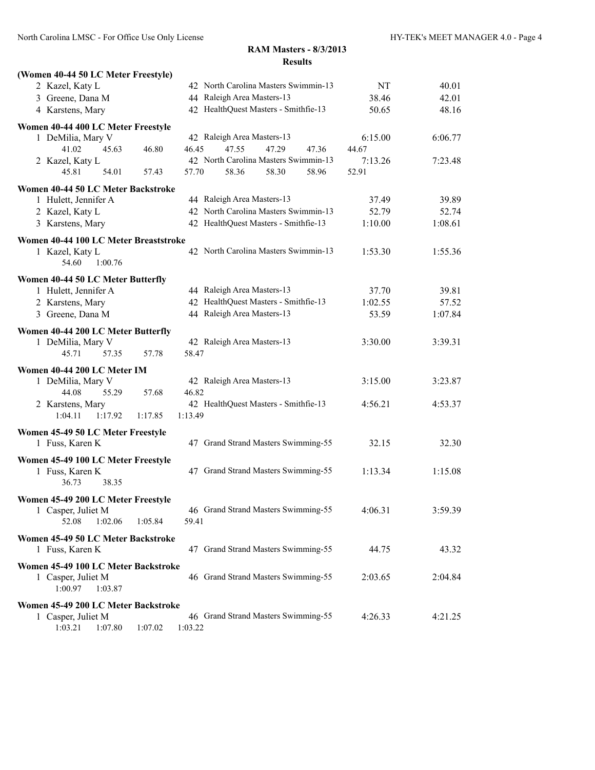| (Women 40-44 50 LC Meter Freestyle)   |                                      |         |         |
|---------------------------------------|--------------------------------------|---------|---------|
| 2 Kazel, Katy L                       | 42 North Carolina Masters Swimmin-13 | NT      | 40.01   |
| 3 Greene, Dana M                      | 44 Raleigh Area Masters-13           | 38.46   | 42.01   |
| 4 Karstens, Mary                      | 42 HealthQuest Masters - Smithfie-13 | 50.65   | 48.16   |
| Women 40-44 400 LC Meter Freestyle    |                                      |         |         |
| 1 DeMilia, Mary V                     | 42 Raleigh Area Masters-13           | 6:15.00 | 6:06.77 |
| 46.80<br>41.02<br>45.63               | 46.45<br>47.55<br>47.29<br>47.36     | 44.67   |         |
| 2 Kazel, Katy L                       | 42 North Carolina Masters Swimmin-13 | 7:13.26 | 7:23.48 |
| 45.81<br>54.01<br>57.43               | 58.36<br>57.70<br>58.30<br>58.96     | 52.91   |         |
| Women 40-44 50 LC Meter Backstroke    |                                      |         |         |
| 1 Hulett, Jennifer A                  | 44 Raleigh Area Masters-13           | 37.49   | 39.89   |
| 2 Kazel, Katy L                       | 42 North Carolina Masters Swimmin-13 | 52.79   | 52.74   |
| 3 Karstens, Mary                      | 42 HealthQuest Masters - Smithfie-13 | 1:10.00 | 1:08.61 |
| Women 40-44 100 LC Meter Breaststroke |                                      |         |         |
| 1 Kazel, Katy L                       | 42 North Carolina Masters Swimmin-13 | 1:53.30 | 1:55.36 |
| 1:00.76<br>54.60                      |                                      |         |         |
| Women 40-44 50 LC Meter Butterfly     |                                      |         |         |
| 1 Hulett, Jennifer A                  | 44 Raleigh Area Masters-13           | 37.70   | 39.81   |
| 2 Karstens, Mary                      | 42 HealthQuest Masters - Smithfie-13 | 1:02.55 | 57.52   |
| 3 Greene, Dana M                      | 44 Raleigh Area Masters-13           | 53.59   | 1:07.84 |
| Women 40-44 200 LC Meter Butterfly    |                                      |         |         |
| 1 DeMilia, Mary V                     | 42 Raleigh Area Masters-13           | 3:30.00 | 3:39.31 |
| 45.71<br>57.35<br>57.78               | 58.47                                |         |         |
| Women 40-44 200 LC Meter IM           |                                      |         |         |
| 1 DeMilia, Mary V                     | 42 Raleigh Area Masters-13           | 3:15.00 | 3:23.87 |
| 44.08<br>55.29<br>57.68               | 46.82                                |         |         |
| 2 Karstens, Mary                      | 42 HealthQuest Masters - Smithfie-13 | 4:56.21 | 4:53.37 |
| 1:04.11<br>1:17.92<br>1:17.85         | 1:13.49                              |         |         |
| Women 45-49 50 LC Meter Freestyle     |                                      |         |         |
| 1 Fuss, Karen K                       | 47 Grand Strand Masters Swimming-55  | 32.15   | 32.30   |
| Women 45-49 100 LC Meter Freestyle    |                                      |         |         |
| 1 Fuss, Karen K                       | 47 Grand Strand Masters Swimming-55  | 1:13.34 | 1:15.08 |
| 38.35<br>36.73                        |                                      |         |         |
| Women 45-49 200 LC Meter Freestyle    |                                      |         |         |
| 1 Casper, Juliet M                    | 46 Grand Strand Masters Swimming-55  | 4:06.31 | 3:59.39 |
| 52.08<br>1:02.06<br>1:05.84           | 59.41                                |         |         |
| Women 45-49 50 LC Meter Backstroke    |                                      |         |         |
| 1 Fuss, Karen K                       | 47 Grand Strand Masters Swimming-55  | 44.75   | 43.32   |
| Women 45-49 100 LC Meter Backstroke   |                                      |         |         |
| 1 Casper, Juliet M                    | 46 Grand Strand Masters Swimming-55  | 2:03.65 | 2:04.84 |
| 1:00.97<br>1:03.87                    |                                      |         |         |
| Women 45-49 200 LC Meter Backstroke   |                                      |         |         |
| 1 Casper, Juliet M                    | 46 Grand Strand Masters Swimming-55  | 4:26.33 | 4:21.25 |
| 1:03.21<br>1:07.80<br>1:07.02         | 1:03.22                              |         |         |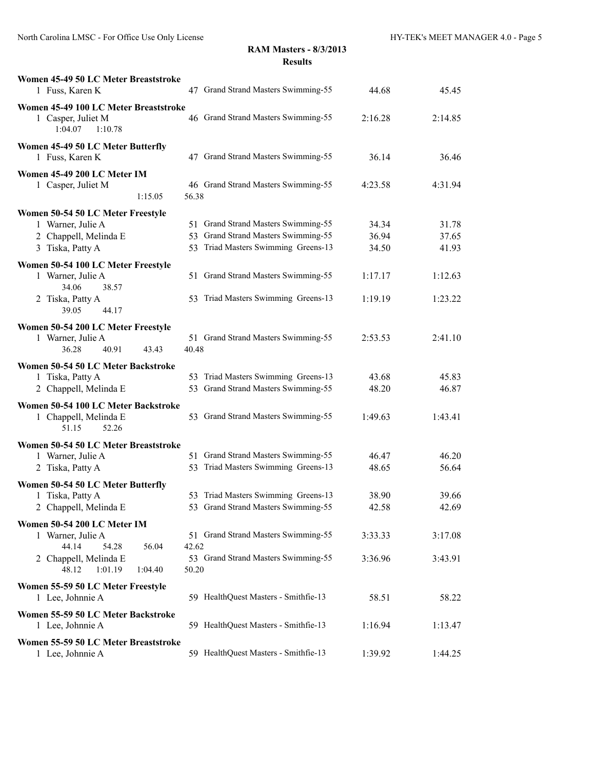| Women 45-49 50 LC Meter Breaststroke<br>1 Fuss, Karen K                           | 47 Grand Strand Masters Swimming-55<br>44.68                                                 | 45.45          |
|-----------------------------------------------------------------------------------|----------------------------------------------------------------------------------------------|----------------|
| Women 45-49 100 LC Meter Breaststroke<br>1 Casper, Juliet M<br>1:04.07<br>1:10.78 | 46 Grand Strand Masters Swimming-55<br>2:16.28                                               | 2:14.85        |
| Women 45-49 50 LC Meter Butterfly<br>1 Fuss, Karen K                              | 47 Grand Strand Masters Swimming-55<br>36.14                                                 | 36.46          |
| Women 45-49 200 LC Meter IM<br>1 Casper, Juliet M<br>1:15.05                      | 46 Grand Strand Masters Swimming-55<br>4:23.58<br>56.38                                      | 4:31.94        |
| Women 50-54 50 LC Meter Freestyle                                                 |                                                                                              |                |
| 1 Warner, Julie A                                                                 | 51 Grand Strand Masters Swimming-55<br>34.34                                                 | 31.78          |
| 2 Chappell, Melinda E                                                             | 53 Grand Strand Masters Swimming-55<br>36.94                                                 | 37.65          |
| 3 Tiska, Patty A                                                                  | 53 Triad Masters Swimming Greens-13<br>34.50                                                 | 41.93          |
| Women 50-54 100 LC Meter Freestyle<br>1 Warner, Julie A<br>34.06<br>38.57         | 51 Grand Strand Masters Swimming-55<br>1:17.17                                               | 1:12.63        |
| 2 Tiska, Patty A<br>39.05<br>44.17                                                | 53 Triad Masters Swimming Greens-13<br>1:19.19                                               | 1:23.22        |
| Women 50-54 200 LC Meter Freestyle                                                |                                                                                              |                |
| 1 Warner, Julie A<br>36.28<br>40.91<br>43.43                                      | 51 Grand Strand Masters Swimming-55<br>2:53.53<br>40.48                                      | 2:41.10        |
|                                                                                   |                                                                                              |                |
| Women 50-54 50 LC Meter Backstroke                                                |                                                                                              |                |
| 1 Tiska, Patty A<br>2 Chappell, Melinda E                                         | 53 Triad Masters Swimming Greens-13<br>43.68<br>53 Grand Strand Masters Swimming-55<br>48.20 | 45.83<br>46.87 |
|                                                                                   |                                                                                              |                |
| Women 50-54 100 LC Meter Backstroke<br>1 Chappell, Melinda E<br>52.26<br>51.15    | 53 Grand Strand Masters Swimming-55<br>1:49.63                                               | 1:43.41        |
| Women 50-54 50 LC Meter Breaststroke                                              |                                                                                              |                |
| 1 Warner, Julie A                                                                 | 51 Grand Strand Masters Swimming-55<br>46.47                                                 | 46.20          |
| 2 Tiska, Patty A                                                                  | 53 Triad Masters Swimming Greens-13<br>48.65                                                 | 56.64          |
| Women 50-54 50 LC Meter Butterfly                                                 |                                                                                              |                |
| 1 Tiska, Patty A                                                                  | 53 Triad Masters Swimming Greens-13<br>38.90                                                 | 39.66          |
| 2 Chappell, Melinda E                                                             | 53 Grand Strand Masters Swimming-55<br>42.58                                                 | 42.69          |
| Women 50-54 200 LC Meter IM                                                       |                                                                                              |                |
| 1 Warner, Julie A                                                                 | 51 Grand Strand Masters Swimming-55<br>3:33.33                                               | 3:17.08        |
| 44.14<br>54.28<br>56.04                                                           | 42.62                                                                                        |                |
| 2 Chappell, Melinda E<br>48.12<br>1:01.19<br>1:04.40                              | 53 Grand Strand Masters Swimming-55<br>3:36.96<br>50.20                                      | 3:43.91        |
| Women 55-59 50 LC Meter Freestyle<br>1 Lee, Johnnie A                             | 59 HealthQuest Masters - Smithfie-13<br>58.51                                                | 58.22          |
| Women 55-59 50 LC Meter Backstroke<br>1 Lee, Johnnie A                            | 59 HealthQuest Masters - Smithfie-13<br>1:16.94                                              | 1:13.47        |
| Women 55-59 50 LC Meter Breaststroke<br>1 Lee, Johnnie A                          | 59 HealthQuest Masters - Smithfie-13<br>1:39.92                                              | 1:44.25        |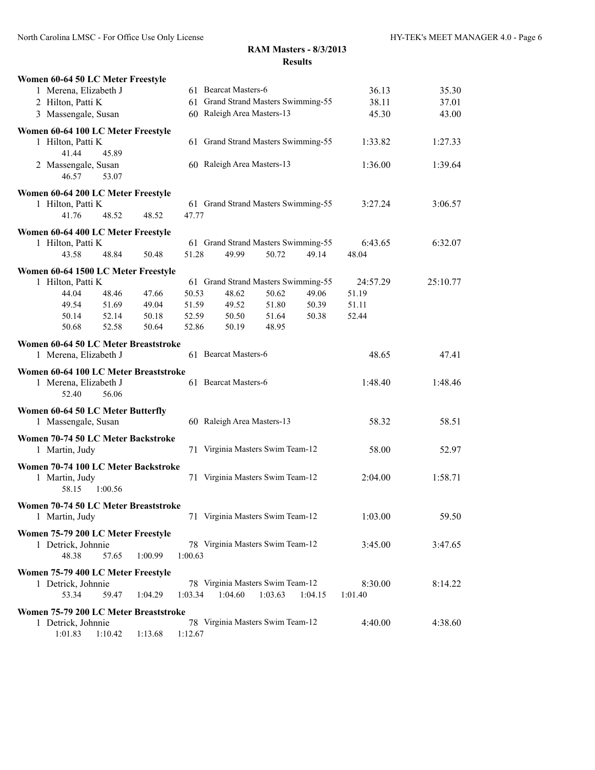| Women 60-64 50 LC Meter Freestyle     |         |         |         |                            |                                     |         |          |          |
|---------------------------------------|---------|---------|---------|----------------------------|-------------------------------------|---------|----------|----------|
| 1 Merena, Elizabeth J                 |         |         |         | 61 Bearcat Masters-6       |                                     |         | 36.13    | 35.30    |
| 2 Hilton, Patti K                     |         |         |         |                            | 61 Grand Strand Masters Swimming-55 | 38.11   | 37.01    |          |
| 3 Massengale, Susan                   |         |         |         | 60 Raleigh Area Masters-13 |                                     |         | 45.30    | 43.00    |
| Women 60-64 100 LC Meter Freestyle    |         |         |         |                            |                                     |         |          |          |
| 1 Hilton, Patti K                     |         |         |         |                            | 61 Grand Strand Masters Swimming-55 |         | 1:33.82  | 1:27.33  |
| 41.44                                 | 45.89   |         |         |                            |                                     |         |          |          |
| 2 Massengale, Susan                   |         |         |         | 60 Raleigh Area Masters-13 |                                     |         | 1:36.00  | 1:39.64  |
| 46.57                                 | 53.07   |         |         |                            |                                     |         |          |          |
| Women 60-64 200 LC Meter Freestyle    |         |         |         |                            |                                     |         |          |          |
| 1 Hilton, Patti K                     |         |         |         |                            | 61 Grand Strand Masters Swimming-55 |         | 3:27.24  | 3:06.57  |
| 41.76                                 | 48.52   | 48.52   | 47.77   |                            |                                     |         |          |          |
| Women 60-64 400 LC Meter Freestyle    |         |         |         |                            |                                     |         |          |          |
| 1 Hilton, Patti K                     |         |         |         |                            | 61 Grand Strand Masters Swimming-55 |         | 6:43.65  | 6:32.07  |
| 43.58                                 | 48.84   | 50.48   | 51.28   | 49.99                      | 50.72                               | 49.14   | 48.04    |          |
|                                       |         |         |         |                            |                                     |         |          |          |
| Women 60-64 1500 LC Meter Freestyle   |         |         |         |                            |                                     |         |          |          |
| 1 Hilton, Patti K                     |         |         |         |                            | 61 Grand Strand Masters Swimming-55 |         | 24:57.29 | 25:10.77 |
| 44.04                                 | 48.46   | 47.66   | 50.53   | 48.62                      | 50.62                               | 49.06   | 51.19    |          |
| 49.54                                 | 51.69   | 49.04   | 51.59   | 49.52                      | 51.80                               | 50.39   | 51.11    |          |
| 50.14                                 | 52.14   | 50.18   | 52.59   | 50.50                      | 51.64                               | 50.38   | 52.44    |          |
| 50.68                                 | 52.58   | 50.64   | 52.86   | 50.19                      | 48.95                               |         |          |          |
| Women 60-64 50 LC Meter Breaststroke  |         |         |         |                            |                                     |         |          |          |
| 1 Merena, Elizabeth J                 |         |         |         | 61 Bearcat Masters-6       |                                     |         | 48.65    | 47.41    |
| Women 60-64 100 LC Meter Breaststroke |         |         |         |                            |                                     |         |          |          |
| 1 Merena, Elizabeth J                 |         |         |         | 61 Bearcat Masters-6       |                                     |         | 1:48.40  | 1:48.46  |
| 52.40                                 | 56.06   |         |         |                            |                                     |         |          |          |
| Women 60-64 50 LC Meter Butterfly     |         |         |         |                            |                                     |         |          |          |
| 1 Massengale, Susan                   |         |         |         | 60 Raleigh Area Masters-13 |                                     |         | 58.32    | 58.51    |
|                                       |         |         |         |                            |                                     |         |          |          |
| Women 70-74 50 LC Meter Backstroke    |         |         |         |                            |                                     |         |          |          |
| 1 Martin, Judy                        |         |         |         |                            | 71 Virginia Masters Swim Team-12    |         | 58.00    | 52.97    |
| Women 70-74 100 LC Meter Backstroke   |         |         |         |                            |                                     |         |          |          |
| 1 Martin, Judy                        |         |         |         |                            | 71 Virginia Masters Swim Team-12    |         | 2:04.00  | 1:58.71  |
| 58.15                                 | 1:00.56 |         |         |                            |                                     |         |          |          |
| Women 70-74 50 LC Meter Breaststroke  |         |         |         |                            |                                     |         |          |          |
| 1 Martin, Judy                        |         |         |         |                            | 71 Virginia Masters Swim Team-12    |         | 1:03.00  | 59.50    |
|                                       |         |         |         |                            |                                     |         |          |          |
| Women 75-79 200 LC Meter Freestyle    |         |         |         |                            |                                     |         |          |          |
| 1 Detrick, Johnnie                    |         |         |         |                            | 78 Virginia Masters Swim Team-12    |         | 3:45.00  | 3:47.65  |
| 48.38                                 | 57.65   | 1:00.99 | 1:00.63 |                            |                                     |         |          |          |
| Women 75-79 400 LC Meter Freestyle    |         |         |         |                            |                                     |         |          |          |
| 1 Detrick, Johnnie                    |         |         |         |                            | 78 Virginia Masters Swim Team-12    |         | 8:30.00  | 8:14.22  |
| 53.34                                 | 59.47   | 1:04.29 | 1:03.34 | 1:04.60                    | 1:03.63                             | 1:04.15 | 1:01.40  |          |
| Women 75-79 200 LC Meter Breaststroke |         |         |         |                            |                                     |         |          |          |
| 1 Detrick, Johnnie                    |         |         |         |                            | 78 Virginia Masters Swim Team-12    |         | 4:40.00  | 4:38.60  |
| 1:01.83                               | 1:10.42 | 1:13.68 | 1:12.67 |                            |                                     |         |          |          |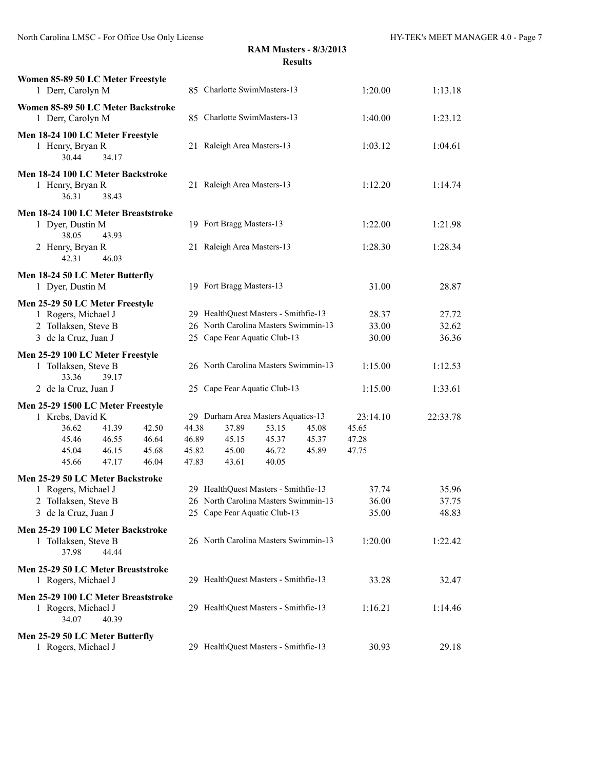| Women 85-89 50 LC Meter Freestyle<br>1 Derr, Carolyn M                                                                                                            |                                  | 85 Charlotte SwimMasters-13                                                                                                           | 1:20.00                             | 1:13.18                 |
|-------------------------------------------------------------------------------------------------------------------------------------------------------------------|----------------------------------|---------------------------------------------------------------------------------------------------------------------------------------|-------------------------------------|-------------------------|
| Women 85-89 50 LC Meter Backstroke<br>1 Derr, Carolyn M                                                                                                           |                                  | 85 Charlotte SwimMasters-13                                                                                                           | 1:40.00                             | 1:23.12                 |
| Men 18-24 100 LC Meter Freestyle<br>1 Henry, Bryan R<br>30.44<br>34.17                                                                                            |                                  | 21 Raleigh Area Masters-13                                                                                                            | 1:03.12                             | 1:04.61                 |
| Men 18-24 100 LC Meter Backstroke<br>1 Henry, Bryan R<br>36.31<br>38.43                                                                                           |                                  | 21 Raleigh Area Masters-13                                                                                                            | 1:12.20                             | 1:14.74                 |
| Men 18-24 100 LC Meter Breaststroke<br>1 Dyer, Dustin M<br>38.05<br>43.93                                                                                         |                                  | 19 Fort Bragg Masters-13                                                                                                              | 1:22.00                             | 1:21.98                 |
| 2 Henry, Bryan R<br>42.31<br>46.03                                                                                                                                |                                  | 21 Raleigh Area Masters-13                                                                                                            | 1:28.30                             | 1:28.34                 |
| Men 18-24 50 LC Meter Butterfly<br>1 Dyer, Dustin M                                                                                                               |                                  | 19 Fort Bragg Masters-13                                                                                                              | 31.00                               | 28.87                   |
| Men 25-29 50 LC Meter Freestyle<br>1 Rogers, Michael J<br>2 Tollaksen, Steve B<br>3 de la Cruz, Juan J                                                            |                                  | 29 HealthQuest Masters - Smithfie-13<br>26 North Carolina Masters Swimmin-13<br>25 Cape Fear Aquatic Club-13                          | 28.37<br>33.00<br>30.00             | 27.72<br>32.62<br>36.36 |
| Men 25-29 100 LC Meter Freestyle<br>1 Tollaksen, Steve B<br>33.36<br>39.17                                                                                        |                                  | 26 North Carolina Masters Swimmin-13                                                                                                  | 1:15.00                             | 1:12.53                 |
| 2 de la Cruz, Juan J                                                                                                                                              |                                  | 25 Cape Fear Aquatic Club-13                                                                                                          | 1:15.00                             | 1:33.61                 |
| Men 25-29 1500 LC Meter Freestyle<br>1 Krebs, David K<br>36.62<br>41.39<br>42.50<br>46.55<br>46.64<br>45.46<br>46.15<br>45.04<br>45.68<br>45.66<br>47.17<br>46.04 | 44.38<br>46.89<br>45.82<br>47.83 | 29 Durham Area Masters Aquatics-13<br>37.89<br>45.08<br>53.15<br>45.15<br>45.37<br>45.37<br>46.72<br>45.00<br>45.89<br>43.61<br>40.05 | 23:14.10<br>45.65<br>47.28<br>47.75 | 22:33.78                |
| Men 25-29 50 LC Meter Backstroke<br>1 Rogers, Michael J<br>2 Tollaksen, Steve B<br>3 de la Cruz, Juan J                                                           |                                  | 29 HealthQuest Masters - Smithfie-13<br>26 North Carolina Masters Swimmin-13<br>25 Cape Fear Aquatic Club-13                          | 37.74<br>36.00<br>35.00             | 35.96<br>37.75<br>48.83 |
| Men 25-29 100 LC Meter Backstroke<br>1 Tollaksen, Steve B<br>37.98<br>44.44                                                                                       |                                  | 26 North Carolina Masters Swimmin-13                                                                                                  | 1:20.00                             | 1:22.42                 |
| Men 25-29 50 LC Meter Breaststroke<br>1 Rogers, Michael J                                                                                                         |                                  | 29 HealthQuest Masters - Smithfie-13                                                                                                  | 33.28                               | 32.47                   |
| Men 25-29 100 LC Meter Breaststroke<br>1 Rogers, Michael J<br>34.07<br>40.39                                                                                      |                                  | 29 HealthQuest Masters - Smithfie-13                                                                                                  | 1:16.21                             | 1:14.46                 |
| Men 25-29 50 LC Meter Butterfly<br>1 Rogers, Michael J                                                                                                            |                                  | 29 HealthQuest Masters - Smithfie-13                                                                                                  | 30.93                               | 29.18                   |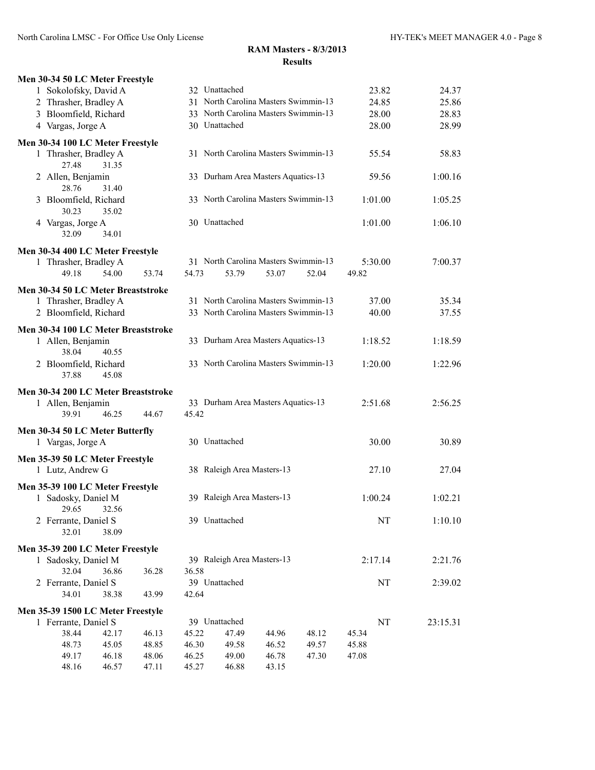| Men 30-34 50 LC Meter Freestyle                      |       |       |       |                            |                                      |       |       |         |          |
|------------------------------------------------------|-------|-------|-------|----------------------------|--------------------------------------|-------|-------|---------|----------|
| 1 Sokolofsky, David A                                |       |       |       | 32 Unattached              |                                      |       |       | 23.82   | 24.37    |
| 2 Thrasher, Bradley A                                |       |       |       |                            | 31 North Carolina Masters Swimmin-13 |       |       | 24.85   | 25.86    |
| 3 Bloomfield, Richard                                |       |       |       |                            | 33 North Carolina Masters Swimmin-13 |       |       | 28.00   | 28.83    |
| 4 Vargas, Jorge A                                    |       |       |       | 30 Unattached              |                                      |       |       | 28.00   | 28.99    |
| Men 30-34 100 LC Meter Freestyle                     |       |       |       |                            |                                      |       |       |         |          |
| 1 Thrasher, Bradley A<br>27.48                       | 31.35 |       |       |                            | 31 North Carolina Masters Swimmin-13 |       |       | 55.54   | 58.83    |
| 2 Allen, Benjamin<br>28.76                           | 31.40 |       |       |                            | 33 Durham Area Masters Aquatics-13   |       |       | 59.56   | 1:00.16  |
| 3 Bloomfield, Richard<br>30.23                       | 35.02 |       |       |                            | 33 North Carolina Masters Swimmin-13 |       |       | 1:01.00 | 1:05.25  |
| 4 Vargas, Jorge A<br>32.09                           | 34.01 |       |       | 30 Unattached              |                                      |       |       | 1:01.00 | 1:06.10  |
| Men 30-34 400 LC Meter Freestyle                     |       |       |       |                            |                                      |       |       |         |          |
| 1 Thrasher, Bradley A                                |       |       |       |                            | 31 North Carolina Masters Swimmin-13 |       |       | 5:30.00 | 7:00.37  |
| 49.18                                                | 54.00 | 53.74 | 54.73 | 53.79                      | 53.07                                | 52.04 | 49.82 |         |          |
| Men 30-34 50 LC Meter Breaststroke                   |       |       |       |                            |                                      |       |       |         |          |
| 1 Thrasher, Bradley A                                |       |       |       |                            | 31 North Carolina Masters Swimmin-13 |       |       | 37.00   | 35.34    |
| 2 Bloomfield, Richard                                |       |       |       |                            | 33 North Carolina Masters Swimmin-13 |       |       | 40.00   | 37.55    |
| Men 30-34 100 LC Meter Breaststroke                  |       |       |       |                            |                                      |       |       |         |          |
| 1 Allen, Benjamin<br>38.04                           | 40.55 |       |       |                            | 33 Durham Area Masters Aquatics-13   |       |       | 1:18.52 | 1:18.59  |
| 2 Bloomfield, Richard<br>37.88                       | 45.08 |       |       |                            | 33 North Carolina Masters Swimmin-13 |       |       | 1:20.00 | 1:22.96  |
| Men 30-34 200 LC Meter Breaststroke                  |       |       |       |                            |                                      |       |       |         |          |
| 1 Allen, Benjamin<br>39.91                           | 46.25 | 44.67 | 45.42 |                            | 33 Durham Area Masters Aquatics-13   |       |       | 2:51.68 | 2:56.25  |
|                                                      |       |       |       |                            |                                      |       |       |         |          |
| Men 30-34 50 LC Meter Butterfly<br>1 Vargas, Jorge A |       |       |       | 30 Unattached              |                                      |       |       | 30.00   | 30.89    |
| Men 35-39 50 LC Meter Freestyle<br>1 Lutz, Andrew G  |       |       |       | 38 Raleigh Area Masters-13 |                                      |       |       | 27.10   | 27.04    |
| Men 35-39 100 LC Meter Freestyle                     |       |       |       |                            |                                      |       |       |         |          |
| 1 Sadosky, Daniel M<br>29.65 32.56                   |       |       |       | 39 Raleigh Area Masters-13 |                                      |       |       | 1:00.24 | 1:02.21  |
| 2 Ferrante, Daniel S<br>32.01                        | 38.09 |       |       | 39 Unattached              |                                      |       |       | NT      | 1:10.10  |
| Men 35-39 200 LC Meter Freestyle                     |       |       |       |                            |                                      |       |       |         |          |
| 1 Sadosky, Daniel M                                  |       |       |       | 39 Raleigh Area Masters-13 |                                      |       |       | 2:17.14 | 2:21.76  |
| 32.04                                                | 36.86 | 36.28 | 36.58 |                            |                                      |       |       |         |          |
| 2 Ferrante, Daniel S                                 |       |       |       | 39 Unattached              |                                      |       |       | NT      | 2:39.02  |
| 34.01                                                | 38.38 | 43.99 | 42.64 |                            |                                      |       |       |         |          |
| Men 35-39 1500 LC Meter Freestyle                    |       |       |       |                            |                                      |       |       |         |          |
| 1 Ferrante, Daniel S                                 |       |       |       | 39 Unattached              |                                      |       |       | NT      | 23:15.31 |
| 38.44                                                | 42.17 | 46.13 | 45.22 | 47.49                      | 44.96                                | 48.12 | 45.34 |         |          |
| 48.73                                                | 45.05 | 48.85 | 46.30 | 49.58                      | 46.52                                | 49.57 | 45.88 |         |          |
| 49.17                                                | 46.18 | 48.06 | 46.25 | 49.00                      | 46.78                                | 47.30 | 47.08 |         |          |
| 48.16                                                | 46.57 | 47.11 | 45.27 | 46.88                      | 43.15                                |       |       |         |          |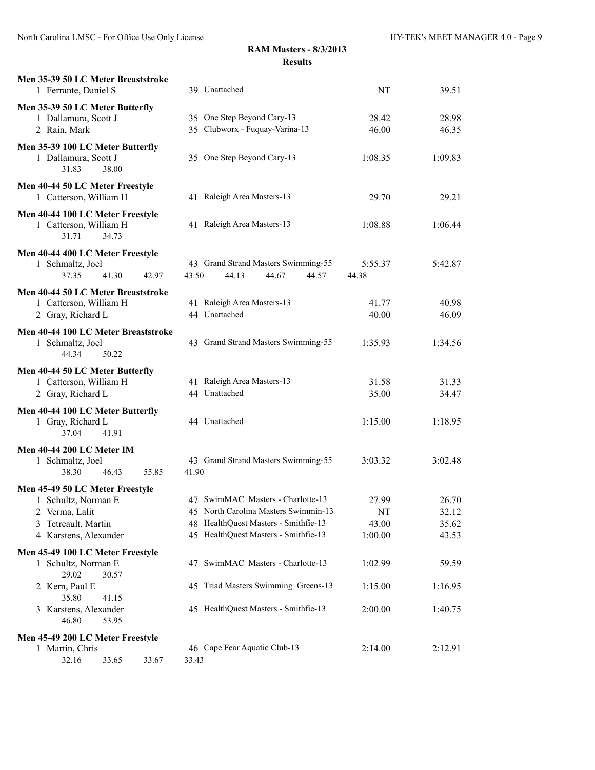| Men 35-39 50 LC Meter Breaststroke<br>1 Ferrante, Daniel S                                                               | 39 Unattached                                                                                                                                             | NT                              | 39.51                            |
|--------------------------------------------------------------------------------------------------------------------------|-----------------------------------------------------------------------------------------------------------------------------------------------------------|---------------------------------|----------------------------------|
| Men 35-39 50 LC Meter Butterfly<br>1 Dallamura, Scott J<br>2 Rain, Mark                                                  | 35 One Step Beyond Cary-13<br>35 Clubworx - Fuquay-Varina-13                                                                                              | 28.42<br>46.00                  | 28.98<br>46.35                   |
| Men 35-39 100 LC Meter Butterfly<br>1 Dallamura, Scott J<br>31.83<br>38.00                                               | 35 One Step Beyond Cary-13                                                                                                                                | 1:08.35                         | 1:09.83                          |
| Men 40-44 50 LC Meter Freestyle<br>1 Catterson, William H                                                                | 41 Raleigh Area Masters-13                                                                                                                                | 29.70                           | 29.21                            |
| Men 40-44 100 LC Meter Freestyle<br>1 Catterson, William H<br>31.71<br>34.73                                             | 41 Raleigh Area Masters-13                                                                                                                                | 1:08.88                         | 1:06.44                          |
| Men 40-44 400 LC Meter Freestyle<br>1 Schmaltz, Joel<br>37.35<br>41.30<br>42.97                                          | 43 Grand Strand Masters Swimming-55<br>43.50<br>44.67<br>44.57<br>44.13                                                                                   | 5:55.37<br>44.38                | 5:42.87                          |
| Men 40-44 50 LC Meter Breaststroke<br>1 Catterson, William H<br>2 Gray, Richard L                                        | 41 Raleigh Area Masters-13<br>44 Unattached                                                                                                               | 41.77<br>40.00                  | 40.98<br>46.09                   |
| Men 40-44 100 LC Meter Breaststroke<br>1 Schmaltz, Joel<br>44.34<br>50.22                                                | 43 Grand Strand Masters Swimming-55                                                                                                                       | 1:35.93                         | 1:34.56                          |
| Men 40-44 50 LC Meter Butterfly<br>1 Catterson, William H<br>2 Gray, Richard L                                           | 41 Raleigh Area Masters-13<br>44 Unattached                                                                                                               | 31.58<br>35.00                  | 31.33<br>34.47                   |
| Men 40-44 100 LC Meter Butterfly<br>1 Gray, Richard L<br>37.04<br>41.91                                                  | 44 Unattached                                                                                                                                             | 1:15.00                         | 1:18.95                          |
| Men 40-44 200 LC Meter IM<br>1 Schmaltz, Joel<br>38.30<br>46.43<br>55.85                                                 | 43 Grand Strand Masters Swimming-55<br>41.90                                                                                                              | 3:03.32                         | 3:02.48                          |
| Men 45-49 50 LC Meter Freestyle<br>1 Schultz, Norman E<br>2 Verma, Lalit<br>3 Tetreault, Martin<br>4 Karstens, Alexander | 47 SwimMAC Masters - Charlotte-13<br>45 North Carolina Masters Swimmin-13<br>48 HealthQuest Masters - Smithfie-13<br>45 HealthQuest Masters - Smithfie-13 | 27.99<br>NT<br>43.00<br>1:00.00 | 26.70<br>32.12<br>35.62<br>43.53 |
| Men 45-49 100 LC Meter Freestyle<br>1 Schultz, Norman E<br>29.02<br>30.57                                                | 47 SwimMAC Masters - Charlotte-13                                                                                                                         | 1:02.99                         | 59.59                            |
| 2 Kern, Paul E<br>35.80<br>41.15                                                                                         | 45 Triad Masters Swimming Greens-13                                                                                                                       | 1:15.00                         | 1:16.95                          |
| 3 Karstens, Alexander<br>46.80<br>53.95                                                                                  | 45 HealthQuest Masters - Smithfie-13                                                                                                                      | 2:00.00                         | 1:40.75                          |
| Men 45-49 200 LC Meter Freestyle<br>1 Martin, Chris<br>32.16<br>33.65<br>33.67                                           | 46 Cape Fear Aquatic Club-13<br>33.43                                                                                                                     | 2:14.00                         | 2:12.91                          |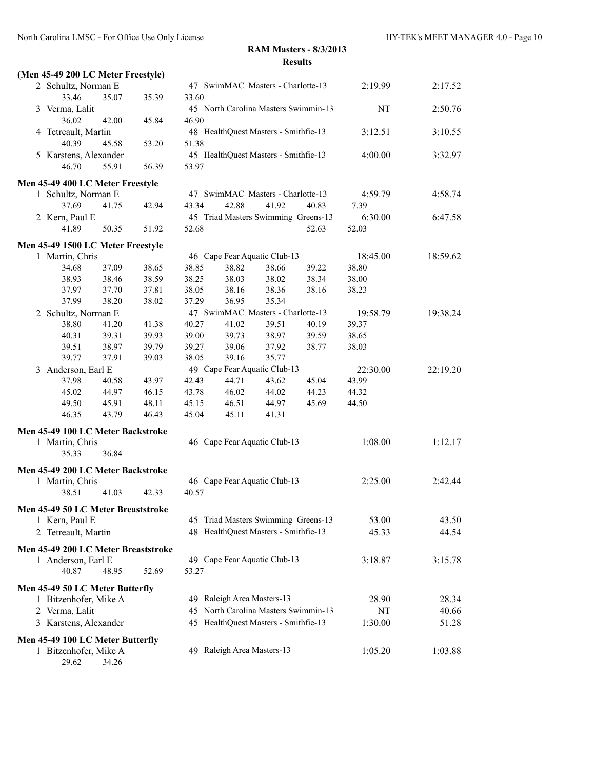| (Men 45-49 200 LC Meter Freestyle)                        |                                  |                |                                      |                |       |                   |          |
|-----------------------------------------------------------|----------------------------------|----------------|--------------------------------------|----------------|-------|-------------------|----------|
| 2 Schultz, Norman E                                       |                                  |                | 47 SwimMAC Masters - Charlotte-13    |                |       | 2:19.99           | 2:17.52  |
| 33.46                                                     | 35.07<br>35.39                   | 33.60          |                                      |                |       |                   |          |
| 3 Verma, Lalit                                            |                                  |                | 45 North Carolina Masters Swimmin-13 |                |       | <b>NT</b>         | 2:50.76  |
| 36.02                                                     | 42.00<br>45.84                   | 46.90          |                                      |                |       |                   |          |
| 4 Tetreault, Martin                                       |                                  |                | 48 HealthQuest Masters - Smithfie-13 |                |       | 3:12.51           | 3:10.55  |
| 40.39                                                     | 45.58<br>53.20                   | 51.38          |                                      |                |       |                   |          |
| 5 Karstens, Alexander                                     |                                  |                | 45 HealthQuest Masters - Smithfie-13 |                |       | 4:00.00           | 3:32.97  |
| 46.70                                                     | 55.91<br>56.39                   | 53.97          |                                      |                |       |                   |          |
| Men 45-49 400 LC Meter Freestyle                          |                                  |                |                                      |                |       |                   |          |
| 1 Schultz, Norman E                                       |                                  |                | 47 SwimMAC Masters - Charlotte-13    |                |       | 4:59.79           | 4:58.74  |
| 37.69                                                     | 41.75<br>42.94                   | 43.34          | 42.88                                | 41.92          | 40.83 | 7.39              |          |
| 2 Kern, Paul E                                            |                                  |                | 45 Triad Masters Swimming Greens-13  |                |       | 6:30.00           | 6:47.58  |
| 41.89                                                     | 50.35<br>51.92                   | 52.68          |                                      |                | 52.63 | 52.03             |          |
|                                                           |                                  |                |                                      |                |       |                   |          |
| Men 45-49 1500 LC Meter Freestyle                         |                                  |                |                                      |                |       |                   |          |
| 1 Martin, Chris                                           |                                  |                | 46 Cape Fear Aquatic Club-13         |                | 39.22 | 18:45.00<br>38.80 | 18:59.62 |
| 34.68                                                     | 37.09<br>38.65                   | 38.85          | 38.82                                | 38.66          |       |                   |          |
| 38.93                                                     | 38.46<br>38.59                   | 38.25          | 38.03                                | 38.02          | 38.34 | 38.00             |          |
| 37.97<br>37.99                                            | 37.70<br>37.81<br>38.20<br>38.02 | 38.05<br>37.29 | 38.16<br>36.95                       | 38.36<br>35.34 | 38.16 | 38.23             |          |
|                                                           |                                  |                | 47 SwimMAC Masters - Charlotte-13    |                |       | 19:58.79          | 19:38.24 |
| 2 Schultz, Norman E<br>38.80                              | 41.20<br>41.38                   | 40.27          | 41.02                                | 39.51          | 40.19 | 39.37             |          |
| 40.31                                                     | 39.31<br>39.93                   | 39.00          | 39.73                                | 38.97          | 39.59 | 38.65             |          |
| 39.51                                                     | 38.97<br>39.79                   | 39.27          | 39.06                                | 37.92          | 38.77 | 38.03             |          |
| 39.77                                                     | 37.91<br>39.03                   | 38.05          | 39.16                                | 35.77          |       |                   |          |
| 3 Anderson, Earl E                                        |                                  |                | 49 Cape Fear Aquatic Club-13         |                |       | 22:30.00          | 22:19.20 |
| 37.98                                                     | 43.97<br>40.58                   | 42.43          | 44.71                                | 43.62          | 45.04 | 43.99             |          |
| 45.02                                                     | 44.97<br>46.15                   | 43.78          | 46.02                                | 44.02          | 44.23 | 44.32             |          |
| 49.50                                                     | 48.11<br>45.91                   | 45.15          | 46.51                                | 44.97          | 45.69 | 44.50             |          |
| 46.35                                                     | 43.79<br>46.43                   | 45.04          | 45.11                                | 41.31          |       |                   |          |
|                                                           |                                  |                |                                      |                |       |                   |          |
| Men 45-49 100 LC Meter Backstroke                         |                                  |                |                                      |                |       |                   |          |
| 1 Martin, Chris                                           |                                  |                | 46 Cape Fear Aquatic Club-13         |                |       | 1:08.00           | 1:12.17  |
| 35.33                                                     | 36.84                            |                |                                      |                |       |                   |          |
| Men 45-49 200 LC Meter Backstroke                         |                                  |                |                                      |                |       |                   |          |
| 1 Martin, Chris                                           |                                  |                | 46 Cape Fear Aquatic Club-13         |                |       | 2:25.00           | 2:42.44  |
| 38.51                                                     | 41.03<br>42.33                   | 40.57          |                                      |                |       |                   |          |
| Men 45-49 50 LC Meter Breaststroke                        |                                  |                |                                      |                |       |                   |          |
| 1 Kern, Paul E                                            |                                  |                | 45 Triad Masters Swimming Greens-13  |                |       | 53.00             | 43.50    |
| 2 Tetreault, Martin                                       |                                  |                | 48 HealthQuest Masters - Smithfie-13 |                |       | 45.33             | 44.54    |
|                                                           |                                  |                |                                      |                |       |                   |          |
| Men 45-49 200 LC Meter Breaststroke                       |                                  |                |                                      |                |       |                   |          |
| 1 Anderson, Earl E                                        |                                  |                | 49 Cape Fear Aquatic Club-13         |                |       | 3:18.87           | 3:15.78  |
| 40.87                                                     | 48.95<br>52.69                   | 53.27          |                                      |                |       |                   |          |
| Men 45-49 50 LC Meter Butterfly                           |                                  |                |                                      |                |       |                   |          |
| 1 Bitzenhofer, Mike A                                     |                                  |                | 49 Raleigh Area Masters-13           |                |       | 28.90             | 28.34    |
| 2 Verma, Lalit                                            |                                  |                | 45 North Carolina Masters Swimmin-13 |                |       | NT                | 40.66    |
| 3 Karstens, Alexander                                     |                                  |                | 45 HealthQuest Masters - Smithfie-13 |                |       | 1:30.00           | 51.28    |
|                                                           |                                  |                |                                      |                |       |                   |          |
| Men 45-49 100 LC Meter Butterfly<br>1 Bitzenhofer, Mike A |                                  |                | 49 Raleigh Area Masters-13           |                |       | 1:05.20           | 1:03.88  |
| 29.62                                                     | 34.26                            |                |                                      |                |       |                   |          |
|                                                           |                                  |                |                                      |                |       |                   |          |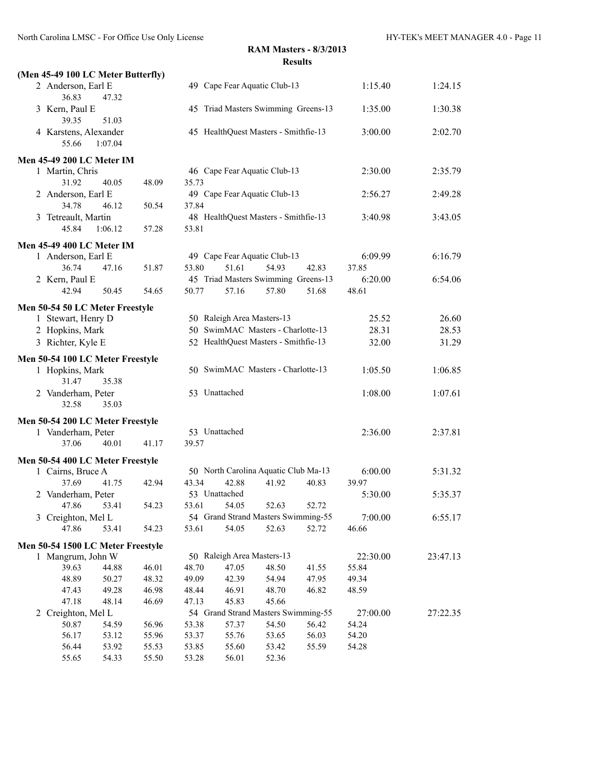|                | (Men 45-49 100 LC Meter Butterfly) |         |       |       |                                      |       |       |          |          |
|----------------|------------------------------------|---------|-------|-------|--------------------------------------|-------|-------|----------|----------|
|                | 2 Anderson, Earl E<br>36.83        | 47.32   |       |       | 49 Cape Fear Aquatic Club-13         |       |       | 1:15.40  | 1:24.15  |
|                | 3 Kern, Paul E<br>39.35            | 51.03   |       |       | 45 Triad Masters Swimming Greens-13  |       |       | 1:35.00  | 1:30.38  |
|                | 4 Karstens, Alexander<br>55.66     | 1:07.04 |       |       | 45 HealthQuest Masters - Smithfie-13 |       |       | 3:00.00  | 2:02.70  |
|                | <b>Men 45-49 200 LC Meter IM</b>   |         |       |       |                                      |       |       |          |          |
|                | 1 Martin, Chris                    |         |       |       | 46 Cape Fear Aquatic Club-13         |       |       | 2:30.00  | 2:35.79  |
|                | 31.92                              | 40.05   | 48.09 | 35.73 |                                      |       |       |          |          |
|                | 2 Anderson, Earl E                 |         |       |       | 49 Cape Fear Aquatic Club-13         |       |       | 2:56.27  | 2:49.28  |
|                | 34.78                              | 46.12   | 50.54 | 37.84 |                                      |       |       |          |          |
|                | 3 Tetreault, Martin                |         |       |       | 48 HealthQuest Masters - Smithfie-13 |       |       | 3:40.98  | 3:43.05  |
|                | 45.84                              | 1:06.12 | 57.28 | 53.81 |                                      |       |       |          |          |
|                | Men 45-49 400 LC Meter IM          |         |       |       |                                      |       |       |          |          |
|                | 1 Anderson, Earl E                 |         |       |       | 49 Cape Fear Aquatic Club-13         |       |       | 6:09.99  | 6:16.79  |
|                | 36.74                              | 47.16   | 51.87 | 53.80 | 51.61                                | 54.93 | 42.83 | 37.85    |          |
|                | 2 Kern, Paul E                     |         |       |       | 45 Triad Masters Swimming Greens-13  |       |       | 6:20.00  | 6:54.06  |
|                | 42.94                              | 50.45   | 54.65 | 50.77 | 57.16                                | 57.80 | 51.68 | 48.61    |          |
|                | Men 50-54 50 LC Meter Freestyle    |         |       |       |                                      |       |       |          |          |
|                | 1 Stewart, Henry D                 |         |       |       | 50 Raleigh Area Masters-13           |       |       | 25.52    | 26.60    |
|                | 2 Hopkins, Mark                    |         |       |       | 50 SwimMAC Masters - Charlotte-13    |       |       | 28.31    | 28.53    |
|                | 3 Richter, Kyle E                  |         |       |       | 52 HealthQuest Masters - Smithfie-13 |       |       | 32.00    | 31.29    |
|                | Men 50-54 100 LC Meter Freestyle   |         |       |       |                                      |       |       |          |          |
|                | 1 Hopkins, Mark<br>31.47           | 35.38   |       |       | 50 SwimMAC Masters - Charlotte-13    |       |       | 1:05.50  | 1:06.85  |
|                | 2 Vanderham, Peter<br>32.58        | 35.03   |       |       | 53 Unattached                        |       |       | 1:08.00  | 1:07.61  |
|                | Men 50-54 200 LC Meter Freestyle   |         |       |       |                                      |       |       |          |          |
|                | 1 Vanderham, Peter                 |         |       |       | 53 Unattached                        |       |       | 2:36.00  | 2:37.81  |
|                | 37.06                              | 40.01   | 41.17 | 39.57 |                                      |       |       |          |          |
|                | Men 50-54 400 LC Meter Freestyle   |         |       |       |                                      |       |       |          |          |
|                | 1 Cairns, Bruce A                  |         |       |       | 50 North Carolina Aquatic Club Ma-13 |       |       | 6:00.00  | 5:31.32  |
|                | 37.69                              | 41.75   | 42.94 | 43.34 | 42.88                                | 41.92 | 40.83 | 39.97    |          |
|                | 2 Vanderham, Peter                 |         |       |       | 53 Unattached                        |       |       | 5:30.00  | 5:35.37  |
|                | 47.86 53.41                        |         | 54.23 | 53.61 | 54.05                                | 52.63 | 52.72 |          |          |
|                | 3 Creighton, Mel L                 |         |       |       | 54 Grand Strand Masters Swimming-55  |       |       | 7:00.00  | 6:55.17  |
|                | 47.86                              | 53.41   | 54.23 | 53.61 | 54.05                                | 52.63 | 52.72 | 46.66    |          |
|                | Men 50-54 1500 LC Meter Freestyle  |         |       |       |                                      |       |       |          |          |
|                | 1 Mangrum, John W                  |         |       |       | 50 Raleigh Area Masters-13           |       |       | 22:30.00 | 23:47.13 |
|                | 39.63                              | 44.88   | 46.01 | 48.70 | 47.05                                | 48.50 | 41.55 | 55.84    |          |
|                | 48.89                              | 50.27   | 48.32 | 49.09 | 42.39                                | 54.94 | 47.95 | 49.34    |          |
|                | 47.43                              | 49.28   | 46.98 | 48.44 | 46.91                                | 48.70 | 46.82 | 48.59    |          |
|                | 47.18                              | 48.14   | 46.69 | 47.13 | 45.83                                | 45.66 |       |          |          |
| $\overline{2}$ | Creighton, Mel L                   |         |       |       | 54 Grand Strand Masters Swimming-55  |       |       | 27:00.00 | 27:22.35 |
|                | 50.87                              | 54.59   | 56.96 | 53.38 | 57.37                                | 54.50 | 56.42 | 54.24    |          |
|                | 56.17                              | 53.12   | 55.96 | 53.37 | 55.76                                | 53.65 | 56.03 | 54.20    |          |
|                | 56.44                              | 53.92   | 55.53 | 53.85 | 55.60                                | 53.42 | 55.59 | 54.28    |          |
|                | 55.65                              | 54.33   | 55.50 | 53.28 | 56.01                                | 52.36 |       |          |          |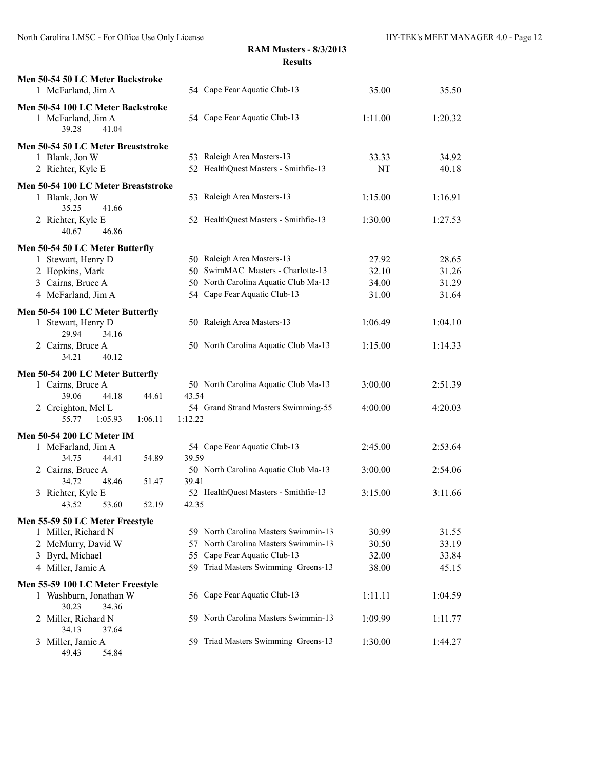| Men 50-54 50 LC Meter Backstroke<br>1 McFarland, Jim A | 54 Cape Fear Aquatic Club-13                   | 35.00   | 35.50   |
|--------------------------------------------------------|------------------------------------------------|---------|---------|
| Men 50-54 100 LC Meter Backstroke                      |                                                |         |         |
| 1 McFarland, Jim A<br>39.28<br>41.04                   | 54 Cape Fear Aquatic Club-13                   | 1:11.00 | 1:20.32 |
| Men 50-54 50 LC Meter Breaststroke                     |                                                |         |         |
| 1 Blank, Jon W                                         | 53 Raleigh Area Masters-13                     | 33.33   | 34.92   |
| 2 Richter, Kyle E                                      | 52 HealthQuest Masters - Smithfie-13           | NT      | 40.18   |
| Men 50-54 100 LC Meter Breaststroke                    |                                                |         |         |
| 1 Blank, Jon W                                         | 53 Raleigh Area Masters-13                     | 1:15.00 | 1:16.91 |
| 35.25<br>41.66                                         |                                                |         |         |
| 2 Richter, Kyle E                                      | 52 HealthQuest Masters - Smithfie-13           | 1:30.00 | 1:27.53 |
| 46.86<br>40.67                                         |                                                |         |         |
| Men 50-54 50 LC Meter Butterfly                        |                                                |         |         |
| 1 Stewart, Henry D                                     | 50 Raleigh Area Masters-13                     | 27.92   | 28.65   |
| 2 Hopkins, Mark                                        | 50 SwimMAC Masters - Charlotte-13              | 32.10   | 31.26   |
| 3 Cairns, Bruce A                                      | 50 North Carolina Aquatic Club Ma-13           | 34.00   | 31.29   |
| 4 McFarland, Jim A                                     | 54 Cape Fear Aquatic Club-13                   | 31.00   | 31.64   |
| Men 50-54 100 LC Meter Butterfly                       |                                                |         |         |
| 1 Stewart, Henry D                                     | 50 Raleigh Area Masters-13                     | 1:06.49 | 1:04.10 |
| 29.94<br>34.16                                         |                                                |         |         |
| 2 Cairns, Bruce A                                      | 50 North Carolina Aquatic Club Ma-13           | 1:15.00 | 1:14.33 |
| 34.21<br>40.12                                         |                                                |         |         |
| Men 50-54 200 LC Meter Butterfly                       |                                                |         |         |
| 1 Cairns, Bruce A                                      | 50 North Carolina Aquatic Club Ma-13           | 3:00.00 | 2:51.39 |
| 39.06<br>44.18<br>44.61                                | 43.54                                          |         |         |
| 2 Creighton, Mel L<br>55.77<br>1:05.93<br>1:06.11      | 54 Grand Strand Masters Swimming-55<br>1:12.22 | 4:00.00 | 4:20.03 |
|                                                        |                                                |         |         |
| <b>Men 50-54 200 LC Meter IM</b>                       |                                                |         |         |
| 1 McFarland, Jim A<br>54.89                            | 54 Cape Fear Aquatic Club-13                   | 2:45.00 | 2:53.64 |
| 34.75<br>44.41<br>2 Cairns, Bruce A                    | 39.59<br>50 North Carolina Aquatic Club Ma-13  | 3:00.00 | 2:54.06 |
| 34.72<br>48.46<br>51.47                                | 39.41                                          |         |         |
| 3 Richter, Kyle E                                      | 52 HealthQuest Masters - Smithfie-13           | 3:15.00 | 3:11.66 |
| 43.52<br>53.60<br>52.19                                | 42.35                                          |         |         |
| Men 55-59 50 LC Meter Freestyle                        |                                                |         |         |
| 1 Miller, Richard N                                    | 59 North Carolina Masters Swimmin-13           | 30.99   | 31.55   |
| 2 McMurry, David W                                     | North Carolina Masters Swimmin-13<br>57        | 30.50   | 33.19   |
| 3 Byrd, Michael                                        | Cape Fear Aquatic Club-13<br>55                | 32.00   | 33.84   |
| 4 Miller, Jamie A                                      | 59 Triad Masters Swimming Greens-13            | 38.00   | 45.15   |
| Men 55-59 100 LC Meter Freestyle                       |                                                |         |         |
| 1 Washburn, Jonathan W                                 | 56 Cape Fear Aquatic Club-13                   | 1:11.11 | 1:04.59 |
| 30.23<br>34.36                                         |                                                |         |         |
| 2 Miller, Richard N                                    | 59 North Carolina Masters Swimmin-13           | 1:09.99 | 1:11.77 |
| 34.13<br>37.64                                         |                                                |         |         |
| 3 Miller, Jamie A                                      | 59 Triad Masters Swimming Greens-13            | 1:30.00 | 1:44.27 |
| 49.43<br>54.84                                         |                                                |         |         |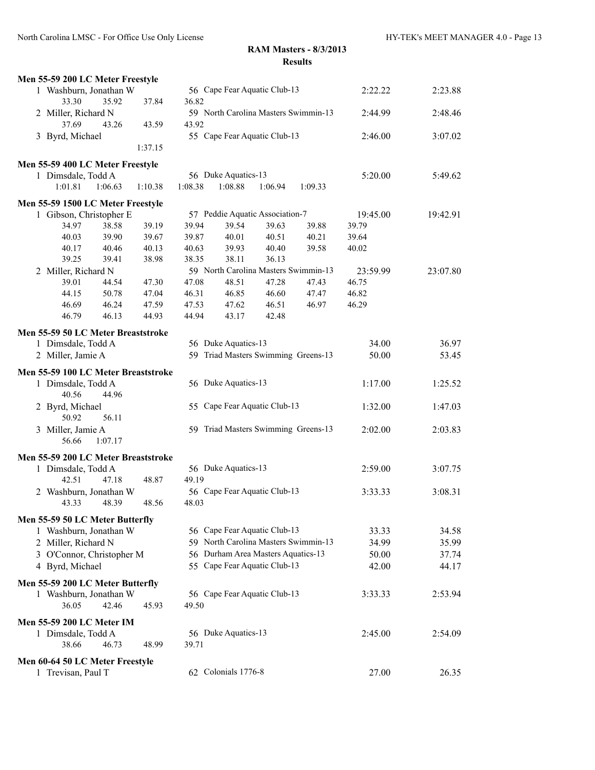North Carolina LMSC - For Office Use Only License HY-TEK's MEET MANAGER 4.0 - Page 13

| Men 55-59 200 LC Meter Freestyle                           |                |                              |                                      |                |         |          |          |
|------------------------------------------------------------|----------------|------------------------------|--------------------------------------|----------------|---------|----------|----------|
| 1 Washburn, Jonathan W                                     |                | 56 Cape Fear Aquatic Club-13 |                                      |                | 2:22.22 | 2:23.88  |          |
| 33.30<br>35.92                                             | 37.84          | 36.82                        |                                      |                |         |          |          |
| 2 Miller, Richard N                                        |                |                              | 59 North Carolina Masters Swimmin-13 |                |         | 2:44.99  | 2:48.46  |
| 37.69<br>43.26                                             | 43.59          | 43.92                        |                                      |                |         |          |          |
| 3 Byrd, Michael                                            |                |                              | 55 Cape Fear Aquatic Club-13         |                |         | 2:46.00  | 3:07.02  |
|                                                            | 1:37.15        |                              |                                      |                |         |          |          |
| Men 55-59 400 LC Meter Freestyle                           |                |                              |                                      |                |         |          |          |
| 1 Dimsdale, Todd A                                         |                |                              | 56 Duke Aquatics-13                  |                |         | 5:20.00  | 5:49.62  |
| 1:01.81<br>1:06.63                                         | 1:10.38        | 1:08.38                      | 1:08.88                              | 1:06.94        | 1:09.33 |          |          |
| Men 55-59 1500 LC Meter Freestyle                          |                |                              |                                      |                |         |          |          |
| 1 Gibson, Christopher E                                    |                |                              | 57 Peddie Aquatic Association-7      |                |         | 19:45.00 | 19:42.91 |
| 38.58<br>34.97                                             | 39.19          | 39.94                        | 39.54                                | 39.63          | 39.88   | 39.79    |          |
| 40.03<br>39.90                                             | 39.67          | 39.87                        | 40.01                                | 40.51          | 40.21   | 39.64    |          |
| 40.17<br>40.46                                             | 40.13          | 40.63                        | 39.93                                | 40.40          | 39.58   | 40.02    |          |
| 39.25<br>39.41                                             | 38.98          | 38.35                        | 38.11                                | 36.13          |         |          |          |
| 2 Miller, Richard N                                        |                |                              | 59 North Carolina Masters Swimmin-13 |                |         | 23:59.99 | 23:07.80 |
| 39.01<br>44.54                                             | 47.30          | 47.08                        | 48.51                                | 47.28          | 47.43   | 46.75    |          |
| 44.15<br>50.78                                             | 47.04          | 46.31                        | 46.85                                | 46.60          | 47.47   | 46.82    |          |
| 46.69<br>46.24<br>46.79<br>46.13                           | 47.59<br>44.93 | 47.53<br>44.94               | 47.62<br>43.17                       | 46.51<br>42.48 | 46.97   | 46.29    |          |
|                                                            |                |                              |                                      |                |         |          |          |
| Men 55-59 50 LC Meter Breaststroke                         |                |                              |                                      |                |         |          |          |
| 1 Dimsdale, Todd A                                         |                |                              | 56 Duke Aquatics-13                  |                |         | 34.00    | 36.97    |
| 2 Miller, Jamie A                                          |                |                              | 59 Triad Masters Swimming Greens-13  |                |         | 50.00    | 53.45    |
| Men 55-59 100 LC Meter Breaststroke                        |                |                              |                                      |                |         |          |          |
| 1 Dimsdale, Todd A<br>40.56<br>44.96                       |                |                              | 56 Duke Aquatics-13                  |                |         | 1:17.00  | 1:25.52  |
| 2 Byrd, Michael<br>56.11<br>50.92                          |                |                              | 55 Cape Fear Aquatic Club-13         |                |         | 1:32.00  | 1:47.03  |
| 3 Miller, Jamie A<br>1:07.17<br>56.66                      |                |                              | 59 Triad Masters Swimming Greens-13  |                |         | 2:02.00  | 2:03.83  |
| Men 55-59 200 LC Meter Breaststroke                        |                |                              |                                      |                |         |          |          |
| 1 Dimsdale, Todd A                                         |                |                              | 56 Duke Aquatics-13                  |                |         | 2:59.00  | 3:07.75  |
| 42.51<br>47.18                                             | 48.87          | 49.19                        |                                      |                |         |          |          |
| 2 Washburn, Jonathan W                                     |                |                              | 56 Cape Fear Aquatic Club-13         |                |         | 3:33.33  | 3:08.31  |
| 43.33<br>48.39                                             | 48.56          | 48.03                        |                                      |                |         |          |          |
| Men 55-59 50 LC Meter Butterfly                            |                |                              |                                      |                |         |          |          |
| 1 Washburn, Jonathan W                                     |                |                              | 56 Cape Fear Aquatic Club-13         |                |         | 33.33    | 34.58    |
| 2 Miller, Richard N                                        |                |                              | 59 North Carolina Masters Swimmin-13 |                |         | 34.99    | 35.99    |
| 3 O'Connor, Christopher M                                  |                |                              | 56 Durham Area Masters Aquatics-13   |                |         | 50.00    | 37.74    |
| 4 Byrd, Michael                                            |                |                              | 55 Cape Fear Aquatic Club-13         |                |         | 42.00    | 44.17    |
|                                                            |                |                              |                                      |                |         |          |          |
| Men 55-59 200 LC Meter Butterfly<br>1 Washburn, Jonathan W |                |                              | 56 Cape Fear Aquatic Club-13         |                |         | 3:33.33  | 2:53.94  |
| 36.05<br>42.46                                             | 45.93          | 49.50                        |                                      |                |         |          |          |
|                                                            |                |                              |                                      |                |         |          |          |
| <b>Men 55-59 200 LC Meter IM</b>                           |                |                              |                                      |                |         |          |          |
| 1 Dimsdale, Todd A                                         |                |                              | 56 Duke Aquatics-13                  |                |         | 2:45.00  | 2:54.09  |
| 38.66<br>46.73                                             | 48.99          | 39.71                        |                                      |                |         |          |          |
| Men 60-64 50 LC Meter Freestyle                            |                |                              |                                      |                |         |          |          |
| 1 Trevisan, Paul T                                         |                |                              | 62 Colonials 1776-8                  |                |         | 27.00    | 26.35    |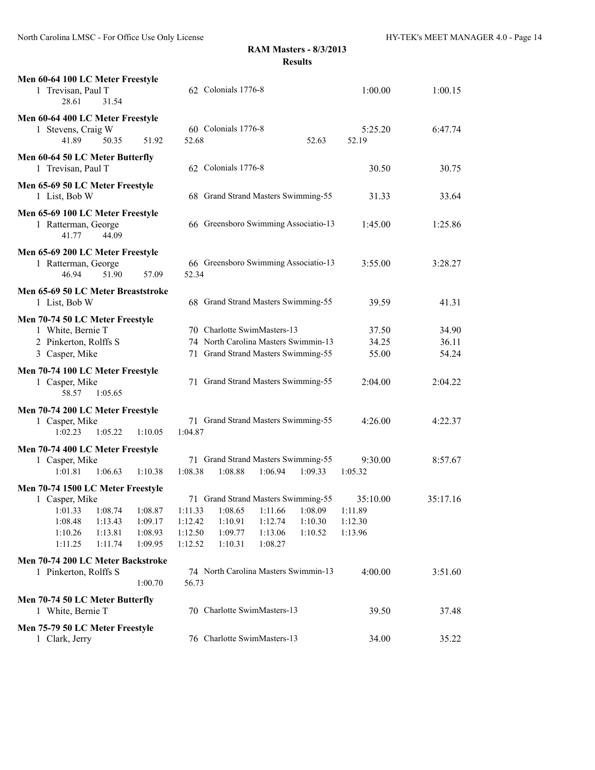| Men 60-64 100 LC Meter Freestyle<br>1 Trevisan, Paul T<br>28.61<br>31.54                                                                                                          | 62 Colonials 1776-8                                                                                                                                                                                         | 1:00.00                            | 1:00.15                            |
|-----------------------------------------------------------------------------------------------------------------------------------------------------------------------------------|-------------------------------------------------------------------------------------------------------------------------------------------------------------------------------------------------------------|------------------------------------|------------------------------------|
| Men 60-64 400 LC Meter Freestyle<br>1 Stevens, Craig W<br>41.89<br>50.35<br>51.92                                                                                                 | 60 Colonials 1776-8<br>52.68<br>52.63                                                                                                                                                                       | 5:25.20<br>52.19                   | 6:47.74                            |
| Men 60-64 50 LC Meter Butterfly<br>1 Trevisan, Paul T                                                                                                                             | 62 Colonials 1776-8                                                                                                                                                                                         | 30.50                              | 30.75                              |
| Men 65-69 50 LC Meter Freestyle<br>1 List, Bob W                                                                                                                                  | 68 Grand Strand Masters Swimming-55                                                                                                                                                                         | 31.33                              | 33.64                              |
| Men 65-69 100 LC Meter Freestyle<br>1 Ratterman, George<br>41.77<br>44.09                                                                                                         | 66 Greensboro Swimming Associatio-13                                                                                                                                                                        | 1:45.00                            | 1:25.86                            |
| Men 65-69 200 LC Meter Freestyle<br>1 Ratterman, George<br>46.94<br>51.90<br>57.09                                                                                                | 66 Greensboro Swimming Associatio-13<br>52.34                                                                                                                                                               | 3:55.00                            | 3:28.27                            |
| Men 65-69 50 LC Meter Breaststroke<br>1 List, Bob W                                                                                                                               | 68 Grand Strand Masters Swimming-55                                                                                                                                                                         | 39.59                              | 41.31                              |
| Men 70-74 50 LC Meter Freestyle<br>1 White, Bernie T<br>2 Pinkerton, Rolffs S<br>3 Casper, Mike<br>Men 70-74 100 LC Meter Freestyle<br>1 Casper, Mike                             | 70 Charlotte SwimMasters-13<br>74 North Carolina Masters Swimmin-13<br>71 Grand Strand Masters Swimming-55<br>71 Grand Strand Masters Swimming-55                                                           | 37.50<br>34.25<br>55.00<br>2:04.00 | 34.90<br>36.11<br>54.24<br>2:04.22 |
| 58.57<br>1:05.65<br>Men 70-74 200 LC Meter Freestyle<br>1 Casper, Mike<br>1:02.23<br>1:05.22<br>1:10.05                                                                           | 71 Grand Strand Masters Swimming-55<br>1:04.87                                                                                                                                                              | 4:26.00                            | 4:22.37                            |
| Men 70-74 400 LC Meter Freestyle<br>1 Casper, Mike<br>1:10.38<br>1:01.81<br>1:06.63                                                                                               | 71 Grand Strand Masters Swimming-55<br>1:08.38<br>1:08.88<br>1:09.33<br>1:06.94                                                                                                                             | 9:30.00<br>1:05.32                 | 8:57.67                            |
| Men 70-74 1500 LC Meter Freestyle<br>1 Casper, Mike<br>1:01.33 1:08.74 1:08.87<br>1:08.48<br>1:09.17<br>1:13.43<br>1:10.26<br>1:13.81<br>1:08.93<br>1:11.25<br>1:11.74<br>1:09.95 | 71 Grand Strand Masters Swimming-55<br>1:11.33  1:08.65  1:11.66  1:08.09  1:11.89<br>1:10.91<br>1:12.42<br>1:12.74<br>1:10.30<br>1:09.77<br>1:12.50<br>1:13.06<br>1:10.52<br>1:10.31<br>1:12.52<br>1:08.27 | 35:10.00<br>1:12.30<br>1:13.96     | 35:17.16                           |
| Men 70-74 200 LC Meter Backstroke<br>1 Pinkerton, Rolffs S<br>1:00.70                                                                                                             | 74 North Carolina Masters Swimmin-13<br>56.73                                                                                                                                                               | 4:00.00                            | 3:51.60                            |
| Men 70-74 50 LC Meter Butterfly<br>1 White, Bernie T                                                                                                                              | 70 Charlotte SwimMasters-13                                                                                                                                                                                 | 39.50                              | 37.48                              |
| Men 75-79 50 LC Meter Freestyle<br>1 Clark, Jerry                                                                                                                                 | 76 Charlotte SwimMasters-13                                                                                                                                                                                 | 34.00                              | 35.22                              |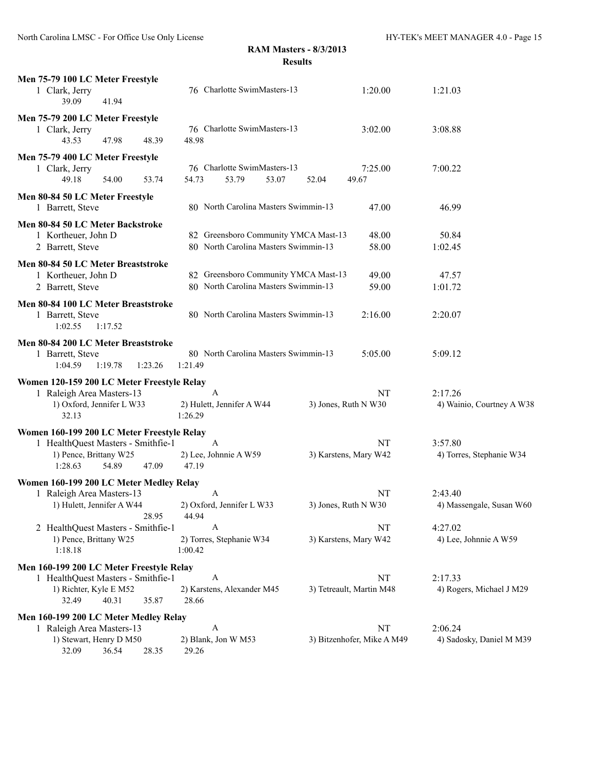| Men 75-79 100 LC Meter Freestyle<br>1 Clark, Jerry<br>39.09<br>41.94                                                                    | 76 Charlotte SwimMasters-13                                                  | 1:20.00                          | 1:21.03                              |
|-----------------------------------------------------------------------------------------------------------------------------------------|------------------------------------------------------------------------------|----------------------------------|--------------------------------------|
| Men 75-79 200 LC Meter Freestyle<br>1 Clark, Jerry<br>43.53<br>47.98<br>48.39                                                           | 76 Charlotte SwimMasters-13<br>48.98                                         | 3:02.00                          | 3:08.88                              |
| Men 75-79 400 LC Meter Freestyle<br>1 Clark, Jerry<br>54.00<br>49.18<br>53.74                                                           | 76 Charlotte SwimMasters-13<br>53.79<br>54.73<br>53.07                       | 7:25.00<br>52.04<br>49.67        | 7:00.22                              |
| Men 80-84 50 LC Meter Freestyle<br>1 Barrett, Steve                                                                                     | 80 North Carolina Masters Swimmin-13                                         | 47.00                            | 46.99                                |
| Men 80-84 50 LC Meter Backstroke<br>1 Kortheuer, John D<br>2 Barrett, Steve                                                             | 82 Greensboro Community YMCA Mast-13<br>80 North Carolina Masters Swimmin-13 | 48.00<br>58.00                   | 50.84<br>1:02.45                     |
| Men 80-84 50 LC Meter Breaststroke<br>1 Kortheuer, John D<br>2 Barrett, Steve                                                           | 82 Greensboro Community YMCA Mast-13<br>80 North Carolina Masters Swimmin-13 | 49.00<br>59.00                   | 47.57<br>1:01.72                     |
| Men 80-84 100 LC Meter Breaststroke<br>1 Barrett, Steve<br>1:02.55<br>1:17.52                                                           | 80 North Carolina Masters Swimmin-13                                         | 2:16.00                          | 2:20.07                              |
| Men 80-84 200 LC Meter Breaststroke<br>1 Barrett, Steve<br>1:04.59<br>1:19.78<br>1:23.26                                                | 80 North Carolina Masters Swimmin-13<br>1:21.49                              | 5:05.00                          | 5:09.12                              |
| Women 120-159 200 LC Meter Freestyle Relay<br>1 Raleigh Area Masters-13<br>1) Oxford, Jennifer L W33<br>32.13                           | A<br>2) Hulett, Jennifer A W44<br>1:26.29                                    | NT<br>3) Jones, Ruth N W30       | 2:17.26<br>4) Wainio, Courtney A W38 |
| Women 160-199 200 LC Meter Freestyle Relay<br>1 HealthQuest Masters - Smithfie-1<br>1) Pence, Brittany W25<br>1:28.63<br>47.09<br>54.89 | A<br>2) Lee, Johnnie A W59<br>47.19                                          | NT<br>3) Karstens, Mary W42      | 3:57.80<br>4) Torres, Stephanie W34  |
| Women 160-199 200 LC Meter Medley Relay<br>1 Raleigh Area Masters-13<br>1) Hulett, Jennifer A W44<br>28.95                              | A<br>2) Oxford, Jennifer L W33<br>44.94                                      | NT<br>3) Jones, Ruth N W30       | 2:43.40<br>4) Massengale, Susan W60  |
| 2 HealthQuest Masters - Smithfie-1<br>1) Pence, Brittany W25<br>1:18.18                                                                 | A<br>2) Torres, Stephanie W34<br>1:00.42                                     | NT<br>3) Karstens, Mary W42      | 4:27.02<br>4) Lee, Johnnie A W59     |
| Men 160-199 200 LC Meter Freestyle Relay<br>1 HealthQuest Masters - Smithfie-1<br>1) Richter, Kyle E M52<br>40.31<br>35.87<br>32.49     | A<br>2) Karstens, Alexander M45<br>28.66                                     | NT<br>3) Tetreault, Martin M48   | 2:17.33<br>4) Rogers, Michael J M29  |
| Men 160-199 200 LC Meter Medley Relay<br>1 Raleigh Area Masters-13<br>1) Stewart, Henry D M50<br>32.09<br>36.54<br>28.35                | A<br>2) Blank, Jon W M53<br>29.26                                            | NT<br>3) Bitzenhofer, Mike A M49 | 2:06.24<br>4) Sadosky, Daniel M M39  |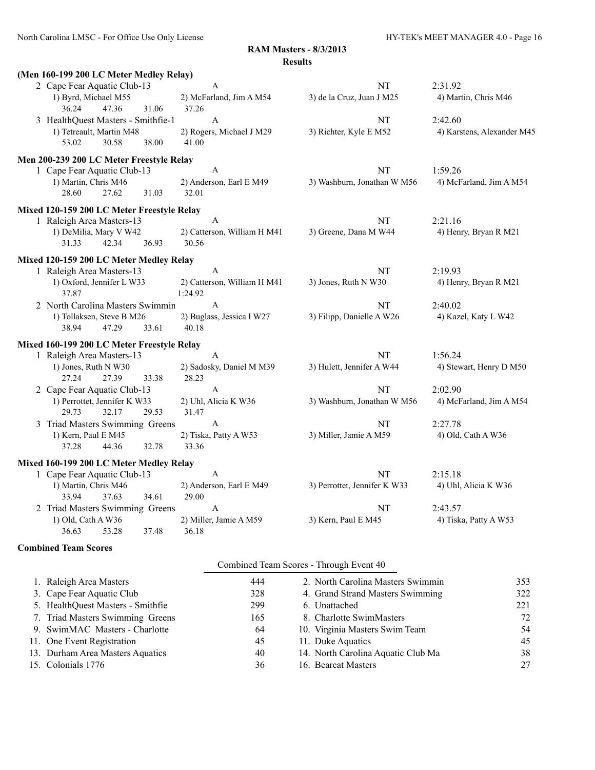| (Men 160-199 200 LC Meter Medley Relay)    |       |       |                             |                              |                            |
|--------------------------------------------|-------|-------|-----------------------------|------------------------------|----------------------------|
| 2 Cape Fear Aquatic Club-13                |       |       | A                           | NT                           | 2:31.92                    |
| 1) Byrd, Michael M55                       |       |       | 2) McFarland, Jim A M54     | 3) de la Cruz, Juan J M25    | 4) Martin, Chris M46       |
| 36.24                                      | 47.36 | 31.06 | 37.26                       |                              |                            |
| 3 HealthQuest Masters - Smithfie-1         |       |       | $\boldsymbol{\mathsf{A}}$   | NT                           | 2:42.60                    |
| 1) Tetreault, Martin M48                   |       |       | 2) Rogers, Michael J M29    | 3) Richter, Kyle E M52       | 4) Karstens, Alexander M45 |
| 53.02                                      | 30.58 | 38.00 | 41.00                       |                              |                            |
| Men 200-239 200 LC Meter Freestyle Relay   |       |       |                             |                              |                            |
| 1 Cape Fear Aquatic Club-13                |       |       | A                           | NT                           | 1:59.26                    |
| 1) Martin, Chris M46                       |       |       | 2) Anderson, Earl E M49     | 3) Washburn, Jonathan W M56  | 4) McFarland, Jim A M54    |
| 28.60                                      | 27.62 | 31.03 | 32.01                       |                              |                            |
| Mixed 120-159 200 LC Meter Freestyle Relay |       |       |                             |                              |                            |
| 1 Raleigh Area Masters-13                  |       |       | $\mathbf{A}$                | NT                           | 2:21.16                    |
| 1) DeMilia, Mary V W42                     |       |       | 2) Catterson, William H M41 | 3) Greene, Dana M W44        | 4) Henry, Bryan R M21      |
| 31.33                                      | 42.34 | 36.93 | 30.56                       |                              |                            |
| Mixed 120-159 200 LC Meter Medley Relay    |       |       |                             |                              |                            |
| 1 Raleigh Area Masters-13                  |       |       | $\boldsymbol{\mathsf{A}}$   | NT                           | 2:19.93                    |
| 1) Oxford, Jennifer L W33                  |       |       | 2) Catterson, William H M41 | 3) Jones, Ruth N W30         | 4) Henry, Bryan R M21      |
| 37.87                                      |       |       | 1:24.92                     |                              |                            |
| 2 North Carolina Masters Swimmin           |       |       | A                           | NT                           | 2:40.02                    |
| 1) Tollaksen, Steve B M26                  |       |       | 2) Buglass, Jessica I W27   | 3) Filipp, Danielle A W26    | 4) Kazel, Katy L W42       |
| 38.94                                      | 47.29 | 33.61 | 40.18                       |                              |                            |
| Mixed 160-199 200 LC Meter Freestyle Relay |       |       |                             |                              |                            |
| 1 Raleigh Area Masters-13                  |       |       | A                           | NT                           | 1:56.24                    |
| 1) Jones, Ruth N W30                       |       |       | 2) Sadosky, Daniel M M39    | 3) Hulett, Jennifer A W44    | 4) Stewart, Henry D M50    |
| 27.24                                      | 27.39 | 33.38 | 28.23                       |                              |                            |
| 2 Cape Fear Aquatic Club-13                |       |       | A                           | NT                           | 2:02.90                    |
| 1) Perrottet, Jennifer K W33               |       |       | 2) Uhl, Alicia K W36        | 3) Washburn, Jonathan W M56  | 4) McFarland, Jim A M54    |
| 29.73                                      | 32.17 | 29.53 | 31.47                       |                              |                            |
| 3 Triad Masters Swimming Greens            |       |       | A                           | NT                           | 2:27.78                    |
| 1) Kern, Paul E M45                        |       |       | 2) Tiska, Patty A W53       | 3) Miller, Jamie A M59       | 4) Old, Cath A W36         |
| 37.28                                      | 44.36 | 32.78 | 33.36                       |                              |                            |
| Mixed 160-199 200 LC Meter Medley Relay    |       |       |                             |                              |                            |
| 1 Cape Fear Aquatic Club-13                |       |       | A                           | NT                           | 2:15.18                    |
| 1) Martin, Chris M46                       |       |       | 2) Anderson, Earl E M49     | 3) Perrottet, Jennifer K W33 | 4) Uhl, Alicia K W36       |
| 33.94                                      | 37.63 | 34.61 | 29.00                       |                              |                            |
| 2 Triad Masters Swimming Greens            |       |       | A                           | NT                           | 2:43.57                    |
| 1) Old, Cath A W36                         |       |       | 2) Miller, Jamie A M59      | 3) Kern, Paul E M45          | 4) Tiska, Patty A W53      |
| 36.63                                      | 53.28 | 37.48 | 36.18                       |                              |                            |

#### **Combined Team Scores**

| 444                                                                                                                                                                                                                                                     | 2. North Carolina Masters Swimmin  | 353                                     |
|---------------------------------------------------------------------------------------------------------------------------------------------------------------------------------------------------------------------------------------------------------|------------------------------------|-----------------------------------------|
| 328                                                                                                                                                                                                                                                     | 4. Grand Strand Masters Swimming   | 322                                     |
| 299                                                                                                                                                                                                                                                     | 6. Unattached                      | 221                                     |
| 165                                                                                                                                                                                                                                                     | 8. Charlotte SwimMasters           | 72                                      |
| 64                                                                                                                                                                                                                                                      | 10. Virginia Masters Swim Team     | 54                                      |
| 45                                                                                                                                                                                                                                                      | 11. Duke Aquatics                  | 45                                      |
| 40                                                                                                                                                                                                                                                      | 14. North Carolina Aquatic Club Ma | 38                                      |
| 36                                                                                                                                                                                                                                                      | 16. Bearcat Masters                | 27                                      |
| 1. Raleigh Area Masters<br>3. Cape Fear Aquatic Club<br>5. HealthQuest Masters - Smithfie<br>7. Triad Masters Swimming Greens<br>9. SwimMAC Masters - Charlotte<br>11. One Event Registration<br>13. Durham Area Masters Aquatics<br>15. Colonials 1776 |                                    | Combined Team Scores - Through Event 40 |